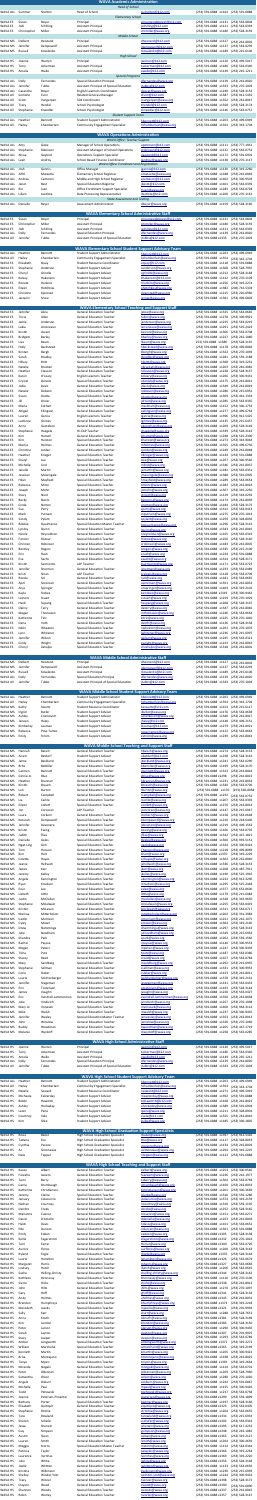|                                    |                            |                               | <b>WAVA Academic Administration</b><br><b>Head of School</b>                    |                                               |                                                                                          |
|------------------------------------|----------------------------|-------------------------------|---------------------------------------------------------------------------------|-----------------------------------------------|------------------------------------------------------------------------------------------|
| WAVA ALL                           | Summer                     | Shelton                       | Head of School                                                                  | sushelton@k12.com                             | (253) 591-6888 x1164 (253) 591-6888                                                      |
| <b>WAVA ES</b>                     | Susan                      | Boyer                         | <b>Elementary School</b><br>Principal                                           | smouracadeboyer@k12.com                       | (253) 591-6888 x1131<br>(253) 563-0804                                                   |
| <b>WAVA ES</b>                     | Jodi                       | Schilling                     | <b>Assistant Principal</b>                                                      | jschilling@k12.com                            | (253) 591-6888 x1121<br>$(253) 563 - 0393$                                               |
| <b>WAVA ES</b>                     | Christopher                | Miller                        | <b>Assistant Principal</b><br>Middle School                                     | chrmiller@wava.org                            | (253) 591-6888 x1180<br>(253) 528-3159                                                   |
| WAVA MS                            | Delbert                    | Heistand                      | Principal                                                                       | dheistand@k12.com                             | (253) 591-6888 x1127<br>(253) 242-8002                                                   |
| WAVA MS                            | Jennifer                   | Dempewolf                     | <b>Assistant Principal</b>                                                      | jdempewolf@k12.com                            | (253) 591-6888 x1137<br>$(253) 563 - 0293$                                               |
| WAVA MS                            | Russell                    | Kovalenko                     | <b>Assistant Principal</b><br><b>High School</b>                                | rkovalenko@k12.com                            | (253) 591-6888 x1189<br>(253) 215-6106                                                   |
| <b>WAVA HS</b>                     | Joanne                     | Warren                        | Principal                                                                       | jwarren@k12.com                               | (253) 591-6888 x1120<br>(253) 499-5017                                                   |
| <b>WAVA HS</b><br><b>WAVA HS</b>   | <b>Terry</b><br>Amalia     | Ackerman<br>Walle             | <b>Assistant Principal</b><br><b>Assistant Principal</b>                        | tackerman@k12.com<br>awalle@k12.com           | (253) 591-6888 x1186<br>(253) 563-0340<br>(253) 591-6888 x1149<br>$(253)$ 245-1211       |
|                                    |                            |                               | <b>Special Programs</b>                                                         |                                               |                                                                                          |
| <b>WAVA ALL</b><br><b>WAVA ALL</b> | Dolly<br>Jennifer          | Fernandes<br>Tubbs            | <b>Special Education Principal</b><br>Assistant Principal of Special Education  | dfernandes@wava.org<br>jtubbs@k12.com         | (253) 591-6888 x1139<br>(253) 242-8020<br>(253) 270-1003<br>(253) 591-6888 x1333         |
| WAVA ALL                           | Casandra                   | Boyer                         | English Learners Coordinator                                                    | cboyer@wava.org                               | (253) 591-6888 x1240<br>$(253) 528 - 3152$                                               |
| WAVA All<br><b>WAVA All</b>        | Semone<br>Scott            | Funn<br>Vangerpen             | <b>Related Services Manager</b><br>504 Coordinator                              | sfunn@k12.com<br>svangerpen@wava.org          | (253) 591-6888 x1387<br>(253) 912-5435<br>(253) 591-6888 x1352<br>(253) 242-8047         |
| WAVA All                           | Tracy                      | Hendel                        | <b>School Psychologist</b>                                                      | thendel@k12.com                               | (253) 591-6888 x1358<br>(253) 528-3174                                                   |
| WAVA All                           | Stephanie                  | Kneedler                      | School Psychologist<br><b>Student Support Team</b>                              | skneedler@k12.com                             | (253) 591-6888 x1146<br>(253) 563-0757                                                   |
| <b>WAVA ALL</b>                    | Heather                    | <b>Bennett</b>                | Student Support Administrator                                                   | hbennett@k12.com                              | (253) 591-6888 x1263<br>(253) 499-6949                                                   |
| WAVA All                           | Hailey                     | Chamberlain                   | <b>Community Engagement Specialist</b>                                          | hchamberlain@wava.org                         | (253) 591-6888 x1354 (253) 343-1704                                                      |
|                                    |                            |                               | <b>WAVA Operations Administration</b>                                           |                                               |                                                                                          |
| WAVA ALL                           | Amy                        | Giske                         | <b>WAVA Office: Teacher Support</b><br>Manager of School Operations             | apeterson@k12.com                             | (253) 591-6888 x1111<br>(253) 777-1951                                                   |
| WAVA ALL                           | Stephanie                  | Robinson                      | <b>Assistant Manager of School Operations</b>                                   | srobinson@k12.com                             | (253) 591-6888 x1132<br>(253) 563-0752                                                   |
| <b>WAVA ALL</b>                    | Alissa                     | Gaylord                       | <b>Operations Support Specialist</b><br><b>School Based Finance Coordinator</b> | agaylord@k12.com                              | (253) 591-6888 x1172<br>(253) 591-6901                                                   |
| <b>WAVA ALL</b>                    | Leah                       | Androy                        | <b>WAVA Office: Enrollment and Registration</b>                                 | landroy@wava.org                              | (253) 591-6888 x1138 (253) 270-1117                                                      |
| <b>WAVA ALL</b>                    | Josh                       | Gannis                        | <b>Office Manager</b>                                                           | jgannis@k12.com                               | (253) 591-6888 x1130<br>$(253)$ 319-2260                                                 |
| <b>WAVA ALL</b><br><b>WAVA ALL</b> | Aifiti<br>Andrea           | Matautia<br>Cameron           | Elementary School Registrar<br>Middle and High School Registrar                 | amatautia@wava.org<br>acameron@k12.com        | (253) 591-6888 x1188<br>(253) 242-8049<br>(253) 591-6888 x1402<br>$(253)$ 300-9503       |
| WAVA ALL                           | Janet                      | <b>Best</b>                   | <b>Special Education Registrar</b>                                              | jbest1@k12.com                                | (253) 591-6888 x1401<br>(253) 563-0339                                                   |
| <b>WAVA ALL</b><br><b>WAVA ALL</b> | Rio<br>Lillain             | Juan<br>Leatiota              | <b>Office Enrollment Support Specialist</b><br>Data Processing Representative   | rjuan@wava.org<br>lleatiota@k12.com           | (253) 591-6888 x1283<br>(253) 563-0728<br>(253) 591-6888 x1200<br>(253) 270-1161         |
|                                    |                            |                               | <b>State Assessment and Testing</b>                                             |                                               |                                                                                          |
| WAVA ALL                           | Danielle                   | Beyer                         | Assessment Administrator                                                        | dbeyer@wava.org                               | (253) 591-6888 x1159 (253) 528-3160                                                      |
|                                    |                            |                               | <b>WAVA Elementary School Administrative Staff</b>                              |                                               |                                                                                          |
| <b>WAVA ES</b><br><b>WAVA ES</b>   | Susan<br>Christopher       | Boyer<br>Miller               | Principal<br><b>Assistant Principal</b>                                         | smouracadeboyer@k12.com<br>chrmiller@wava.org | (253) 591-6888 x1131<br>$(253) 563 - 0804$<br>(253) 591-6888 x1180<br>$(253) 528 - 3159$ |
| <b>WAVA ES</b>                     | Jodi                       | Schilling                     | <b>Assistant Principal</b>                                                      | jschilling@k12.com                            | (253) 591-6888 x1121<br>$(253) 563 - 0393$                                               |
| <b>WAVA ALL</b>                    | Dolly                      | Fernandes                     | <b>Special Education Principal</b>                                              | dfernandes@wava.org                           | (253) 591-6888 x1139<br>(253) 242-8020                                                   |
| <b>WAVA All</b>                    | Jennifer                   | Tubbs                         | Assistant Principal of Special Education                                        | jtubbs@k12.com                                | (253) 591-6888 x1333<br>(253) 270-1003                                                   |
|                                    |                            |                               | <b>WAVA Elementary School Student Support Advisory Team</b>                     |                                               |                                                                                          |
| WAVA ALL<br><b>WAVA All</b>        | Heather<br>Hailey          | <b>Bennett</b><br>Chamberlain | <b>Student Support Administrator</b><br><b>Community Engagement Specialist</b>  | hbennett@k12.com<br>hchamberlain@wava.org     | (253) 591-6888 x1263<br>(253) 499-6949<br>(253) 591-6888 x1354<br>(253) 343-1704         |
| <b>WAVA ES</b>                     | Elizabeth                  | Quay                          | <b>Student Resource Coordinator</b>                                             | equay@k12.com                                 | (253) 591-6888 x1118<br>(253) 591-6888                                                   |
| <b>WAVA ES</b><br><b>WAVA ES</b>   | Stephanie<br>Cheryl        | Anderson<br>Grindle           | <b>Student Support Advisor</b><br><b>Student Support Advisor</b>                | sanderson@wava.org<br>cgrindle@wava.org       | (253) 591-6888 x1308<br>(253) 528-7955<br>(253) 591-6888 x1212<br>$(253) 528 - 3168$     |
| <b>WAVA ES</b>                     | Kelsey                     | Hakanson                      | <b>Student Support Advisor</b>                                                  | khakanson@k12.com                             | (253) 591-6888 x1142 (253) 270-1109                                                      |
| WAVA ES                            | Renata                     | Hankins                       | <b>Student Support Advisor</b>                                                  | rhankins@wava.org                             | (253) 591-6888 x1256 (253) 319-2274                                                      |
| <b>WAVA ES</b><br><b>WAVA ES</b>   | Eileen<br>Christine        | Hotchkiss<br>Kjenstad         | <b>Student Support Advisor</b><br><b>Student Support Advisor</b>                | ehotchkiss@wava.org<br>ckjenstad@wava.org     | (253) 591-6888 x1382 (206) 742-5303<br>(253) 591-6888 x1215<br>(253) 220-0960            |
| <b>WAVA ES</b>                     | Jacqulin                   | Snow                          | <b>Student Support Advisor</b>                                                  | jsnow@wava.org                                | (253) 591-6888 x1391 (253) 499-6803                                                      |
|                                    |                            |                               | <b>WAVA Elementary School Teaching and Support Staff</b>                        |                                               |                                                                                          |
| <b>WAVA ES</b>                     | Jennifer                   | Akca                          | <b>General Education Teacher</b>                                                | jakca@wava.org                                | (253) 591-6888 x1315<br>$(253) 563 - 0646$                                               |
| <b>WAVA ES</b><br><b>WAVA ES</b>   | Tricia<br>Jamie            | Allen<br>Anderson             | <b>General Education Teacher</b><br><b>General Education Teacher</b>            | tallen@wava.org<br>janderson@wava.org         | (253) 591-6888 x1278<br>(253) 300-9921<br>(253) 591-6888 x1235<br>$(253) 563 - 0219$     |
| <b>WAVA ES</b>                     | Lakia                      | Arceneaux                     | <b>Special Education Teacher</b>                                                | larceneaux@wava.org                           | (253) 591-6888 x1291<br>$(253) 525 - 2423$                                               |
| <b>WAVA ES</b><br><b>WAVA ES</b>   | Kristin<br><b>Bridgett</b> | Ascani<br><b>Barley</b>       | <b>General Education Teacher</b><br><b>General Education Teacher</b>            | kascani@wava.org<br>bbarley@wava.org          | (253) 591-6888 x1306<br>$(253) 563 - 0708$<br>(253) 591-6888 x1227<br>(253) 242-1080     |
| <b>WAVA ES</b>                     | Lisa                       | Baum                          | <b>General Education Teacher</b>                                                | lbaum@wava.org                                | 253) 591-6888 x1386<br>$(253) 528 - 3135$                                                |
| <b>WAVA ES</b>                     | Holly                      | <b>Beckstead</b>              | <b>General Education Teacher</b>                                                | hbeckstead@wava.org                           | (253) 591-6888 x1178<br>(253) 499-8066                                                   |
| <b>WAVA ES</b><br><b>WAVA ES</b>   | Kirsten<br>Sarah           | Bergh<br><b>Bradley</b>       | <b>General Education Teacher</b><br><b>Special Education Teacher</b>            | kbergh@wava.org<br>sbradley@wava.org          | (253) 591-6888 x1322<br>(253) 270-1039<br>(253) 591-6888 x1281<br>$(253) 559 - 1188$     |
| <b>WAVA ES</b>                     | Hillary                    | <b>Britt</b>                  | <b>General Education Teacher</b>                                                | hibritt@wava.org                              | (253) 591-6888 x1368<br>(253) 319-2231                                                   |
| <b>WAVA ES</b><br><b>WAVA ES</b>   | Natalie<br>Heather         | <b>Brucken</b><br>Clauson     | <b>Special Education Teacher</b><br><b>General Education Teacher</b>            | nbrucken@wava.org<br>hclauson@wava.org        | (253) 591-6888 x1203<br>(253) 281-4081<br>(253) 591-6888 x1228<br>(253) 528-3157         |
| <b>WAVA ES</b>                     | Karen                      | O'Leary                       | <b>English Learners Teacher</b>                                                 | koleary@wava.org                              | (253) 591-6888 x1266<br>(253) 300-9431                                                   |
| <b>WAVA ES</b><br><b>WAVA ES</b>   | Crystal<br>Jodie           | <b>Daniels</b><br>Davis       | <b>Special Education Teacher</b><br><b>General Education Teacher</b>            | cdaniels@wava.org<br>jdavis@wava.org          | (253) 591-6888 x1175<br>(253) 242-8041<br>(253) 591-6888 x1349<br>(253) 242-8019         |
| <b>WAVA ES</b>                     | Natalie                    | Dobson                        | <b>General Education Teacher</b>                                                | ndobson@wava.org                              | (253) 591-6888 x1286<br>(253) 215-6952                                                   |
| <b>WAVA ES</b>                     | Susan                      | Dostie                        | <b>Special Education Teacher</b>                                                | sdostie@wava.org                              | (253) 591-6888 x1309<br>(253) 461-1334                                                   |
| <b>WAVA ES</b><br><b>WAVA ES</b>   | Jill<br>Marla              | <b>Driver</b><br>Eckhart      | <b>General Education Teacher</b><br><b>General Education Teacher</b>            | jdriver@wava.org<br>meckhart@wava.org         | (253) 591-6888 x1285<br>$(253) 563 - 0335$<br>(253) 591-6888 x1152<br>(253) 300-1733     |
| <b>WAVA ES</b>                     | Abigail                    | Ellingson                     | <b>General Education Teacher</b>                                                | aellingson@wava.org                           | (253) 591-6888 x1277<br>(253) 499-6764                                                   |
| <b>WAVA ES</b><br><b>WAVA ES</b>   | Lauren<br>LaVonne          | Garcia<br>Grimes              | <b>English Learners Teacher</b><br><b>General Education Teacher</b>             | lgarcia@wava.org<br>lgrimes@wava.org          | (253) 591-6888 x1396<br>(253) 912-5425<br>(253) 591-6888 x1135<br>(253) 215-6457         |
| <b>WAVA ES</b>                     | Anne                       | Gustafson                     | <b>General Education Teacher</b>                                                | agustafson@wava.org                           | (253) 528-3149<br>(253) 591-6888 x1269                                                   |
| <b>WAVA ES</b><br><b>WAVA ES</b>   | Stephanie<br>Kim           | Haegele<br>Hamell             | Hi-CAP Teacher<br><b>General Education Teacher</b>                              | shaegele@wava.org<br>kihamell@wava.org        | (253) 591-6888 x1339<br>(253) 528-3142<br>(253) 591-6888 x1248<br>$(253) 525 - 2300$     |
| <b>WAVA ES</b>                     | Kim                        | Harston                       | <b>Special Education Teacher</b>                                                | kharston@wava.org                             | (253) 591-6888 x1273<br>(253) 343-9044                                                   |
| <b>WAVA ES</b><br><b>WAVA ES</b>   | Marlys<br>Christina        | Holmes<br>Jordan              | <b>General Education Teacher</b><br><b>General Education Teacher</b>            | mholmes@wava.org<br>cjordan@wava.org          | (253) 591-6888 x1355<br>(253) 499-6736<br>(253) 591-6888 x1249<br>(253) 242-8048         |
| <b>WAVA ES</b>                     | Heather                    | Krieger                       | <b>Special Education Teacher</b>                                                | hkrieger@wava.org                             | (253) 591-6888 x1144<br>(253) 591-6888                                                   |
| <b>WAVA ES</b>                     | Sharyl                     | Lee                           | <b>Special Education Teacher</b>                                                | slee@wava.org                                 | (253) 591-6888 x1267<br>(253) 300-9546                                                   |
| <b>WAVA ES</b><br><b>WAVA ES</b>   | Michelle<br>Janelle        | Lind<br>Martin                | <b>General Education Teacher</b><br><b>General Education Teacher</b>            | mlind@wava.org<br>jamartin@wava.org           | (253) 591-6888 x1346<br>(253) 242-8037<br>(253) 591-6888 x1182<br>(253) 563-0351         |
| <b>WAVA ES</b>                     | Jessican                   | Massingale                    | <b>General Education Teacher</b>                                                | jmassingale@wava.org                          | (253) 591-6888 x1388<br>$(253) 591 - 6905$                                               |
| <b>WAVA ES</b><br><b>WAVA ES</b>   | Hilari<br>Rebecca          | Mayfield<br>Mintz             | <b>Special Education Teacher</b><br><b>Special Education Teacher</b>            | hmayfield@wava.org<br>bmintz@wava.org         | (253) 591-6888 x1289<br>$(253) 563 - 0654$<br>(253) 591-6888 x1282<br>(253) 242-8024     |
| <b>WAVA ES</b>                     | Joseph                     | Mohn                          | <b>General Education Teacher</b>                                                | jomohn@wava.org                               | (253) 591-6888 x1367<br>(253) 319-2250                                                   |
| <b>WAVA ES</b><br><b>WAVA ES</b>   | Stacy<br>Becky             | Nicol<br><b>Norris</b>        | <b>General Education Teacher</b><br><b>General Education Teacher</b>            | stnicol@wava.org<br>benorris@wava.org         | (253) 591-6888 x1129<br>(253) 563-0292<br>(253) 591-6888 x1174 (253) 242-8039            |
| <b>WAVA ES</b>                     | Cinda                      | Norton                        | <b>General Education Teacher</b>                                                | cnorton@wava.org                              | (253) 591-6888 x1184<br>(253) 528-3175                                                   |
| <b>WAVA ES</b><br><b>WAVA ES</b>   | Sue<br>Mark                | Perry<br>Putnam               | <b>General Education Teacher</b><br><b>General Education Teacher</b>            | sperry@wava.org<br>mputnam@wava.org           | (253) 591-6888 x1312 (253) 563-0413<br>(253) 591-6888 x1275<br>(253) 270-1014            |
| <b>WAVA ES</b>                     | Sandy                      | Pylant                        | <b>General Education Teacher</b>                                                | spylant@wava.org                              | (253) 591-6888 x1259<br>(253) 328-8056                                                   |
| <b>WAVA ES</b><br><b>WAVA ES</b>   | <b>Bobbie</b><br>Lyndsy    | Quaintance<br>Quinn           | <b>Special Education Master Teacher</b><br><b>General Education Teacher</b>     | boquaintance@wava.org<br>lquinn@wava.org      | (253) 591-6888 x1296<br>$(253) 528 - 3141$<br>(253) 591-6888 x1343<br>(253) 242-8016     |
| <b>WAVA ES</b>                     | Nicole                     | Reynoldson                    | <b>General Education Teacher</b>                                                | nreynoldson@wava.org                          | (253) 591-6888 x1165<br>$(253) 563 - 0319$                                               |
| <b>WAVA ES</b><br><b>WAVA ES</b>   | Forrest<br>Christen        | Ristow<br>Robinson            | <b>Special Education Teacher</b><br><b>General Education Teacher</b>            | fristow@wava.org<br>crobinson@wava.org        | (253) 591-6888 x1250<br>(253) 528-3140<br>(253) 591-6888 x1183<br>(253) 242-8005         |
| <b>WAVA ES</b>                     | Bentley                    | Rogers                        | <b>General Education Teacher</b>                                                | brogers@wava.org                              | (253) 591-6888 x1335<br>(253) 215-2100                                                   |
| <b>WAVA ES</b><br><b>WAVA ES</b>   | Erin<br>Eva                | Rush<br>Sachs                 | <b>General Education Teacher</b><br><b>General Education Teacher</b>            | erush@wava.org<br>esachs@wava.org             | (253) 591-6888 x1234 (253) 591-6888<br>(253) 591-6888 x1314 (253) 528-3171               |
| <b>WAVA ES</b>                     | Kristin                    | Sarmiento                     | LAP Teacher                                                                     | ksarmiento@wava.org                           | (253) 591-6888 x1171 (253) 563-0723                                                      |
| <b>WAVA ES</b>                     | Jennifer                   | Sherman                       | <b>General Education Teacher</b>                                                | jsherman@wava.org                             | (253) 591-6888 x1233 (253) 563-0489                                                      |
| <b>WAVA ES</b><br><b>WAVA ES</b>   | Kristi<br>Ronda            | Sloan<br>Sol                  | <b>LAP Teacher</b><br><b>General Education Teacher</b>                          | krsloan@wava.org<br>rsol@wava.org             | (253) 591-6888 x1128<br>(253) 563-0709<br>(253) 591-6888 x1181<br>$(253) 563 - 0665$     |
| <b>WAVA ES</b>                     | April                      | Sorensen                      | <b>General Education Teacher</b>                                                | asorensen@wava.org                            | (253) 591-6888 x1351<br>(253) 242-8032                                                   |
| <b>WAVA ES</b><br><b>WAVA ES</b>   | Anja<br>Kayla              | Springer<br><b>Stokes</b>     | <b>Special Education Teacher</b><br><b>General Education Teacher</b>            | anspringer@wava.org<br>kastokes@wava.org      | (253) 591-6888 x1403<br>(253) 319-2101<br>(253) 591-6888 x1319<br>(253) 300-9462         |
| <b>WAVA ES</b>                     | Leinora                    | Stuart                        | <b>General Education Teacher</b>                                                | Lstuart@wava.org                              | (253) 591-6888 x1229<br>(253) 270-1029                                                   |
| <b>WAVA ES</b><br><b>WAVA ES</b>   | Heidi<br>Danny             | Supang<br>Terry               | <b>Special Education Teacher</b><br><b>General Education Teacher</b>            | hsupang@wava.org<br>daterry@wava.org          | (253) 591-6888 x1268<br>$(253) 528 - 3167$<br>(253) 591-6888 x1347<br>(253) 242-8046     |
| <b>WAVA ES</b>                     | Megan                      | Thomason                      | <b>General Education Teacher</b>                                                | mthomason@wava.org                            | (253) 591-6888 x1246<br>$(253) 563 - 0664$                                               |
| <b>WAVA ES</b><br><b>WAVA ES</b>   | Katherine<br>Dena          | <b>Tiric</b><br>Voth          | <b>General Education Teacher</b><br><b>General Education Teacher</b>            | ktiric@wava.org<br>dvoth@wava.org             | (253) 591-6888 x1225<br>(253) 270-1040<br>(253) 591-6888 x1136<br>$(253) 528 - 3158$     |
| <b>WAVA ES</b>                     | Nikki                      | Wheaton                       | <b>Special Education Teacher</b>                                                | nwheaton@wava.org                             | (253) 591-6888 x1261<br>(253) 270-1076                                                   |
| <b>WAVA ES</b><br>WAVA ES          | Lynn<br>Jennifer           | Whitener<br>Wilson            | <b>General Education Teacher</b><br><b>General Education Teacher</b>            | lwhitener@wava.org<br>jwilson@wava.org        | (253) 591-6888 x1236<br>(253) 215-6097<br>(253) 591-6888 x1245<br>(253) 563-0321         |
| <b>WAVA ES</b>                     | Cindy                      | Wright                        | <b>General Education Teacher</b>                                                | cwright@wava.org                              | (253) 591-6888 x1223<br>(253) 242-8042                                                   |
| <b>WAVA ES</b>                     | Cheryl                     | Zahajko                       | <b>Special Education Teacher</b>                                                | chzahajko@wava.org                            | (253) 591-6888 x1318<br>(253) 242-8001                                                   |
|                                    |                            |                               | <b>WAVA Middle School Administrative Staff</b>                                  |                                               |                                                                                          |
| WAVA MS<br>WAVA MS                 | <b>Delbert</b><br>Jennifer | Heistand<br>Dempewolf         | Principal<br><b>Assistant Principal</b>                                         | dheistand@k12.com                             | (253) 591-6888 x1127<br>(253) 242-8002<br>(253) 591-6888 x1137<br>$(253) 563 - 0293$     |
| WAVA MS                            | Russell                    | Kovalenko                     | <b>Assistant Principal</b>                                                      | jdempewolf@k12.com<br>rkovalenko@k12.com      | (253) 591-6888 x1189<br>(253) 215-6106                                                   |
| <b>WAVA ALL</b>                    | Dolly                      | Fernandes<br>Tubbs            | <b>Special Education Principal</b>                                              | dfernandes@wava.org                           | (253) 591-6888 x1139<br>(253) 242-8020                                                   |
| <b>WAVA All</b>                    | Jennifer                   |                               | Assistant Principal of Special Education                                        | jtubbs@k12.com                                | (253) 591-6888 x1333 (253) 270-1003                                                      |
|                                    |                            |                               | <b>WAVA Middle School Student Support Advisory Team</b>                         |                                               |                                                                                          |
| WAVA ALL<br>WAVA All               | Heather<br>Hailey          | <b>Bennett</b><br>Chamberlain | <b>Student Support Administrator</b><br><b>Community Engagement Specialist</b>  | hbennett@k12.com<br>hchamberlain@wava.org     | (253) 591-6888 x1263<br>(253) 499-6949<br>(253) 591-6888 x1354 (253) 343-1704            |
| WAVA MS                            | Kathy                      | Swartz                        | <b>Student Resource Coordinator</b>                                             | kaswartz@k12.com                              | (253) 591-6888 x1154 (253) 215-6117                                                      |
| WAVA MS<br>WAVA MS                 | Ingrid<br>Ashley           | <b>Butler</b><br>Crankovich   | <b>Student Support Advisor</b><br><b>Student Support Advisor</b>                | ibutler@wava.org<br>acrankovich@wava.org      | (253) 591-6888 x1176 (253) 563-0638<br>(253) 591-6888 x1340<br>(253) 242-8017            |
| WAVA MS                            | Jeneen                     | Haley                         | <b>Student Support Advisor</b>                                                  | jhaley@k12.com                                | (253) 591-6888 x1148<br>(253) 409-2151                                                   |
| WAVA MS<br>WAVA MS                 | Kimberley<br>Rebecca       | Lauman<br>Posz-Tamez          | <b>Student Support Advisor</b><br><b>Student Support Advisor</b>                | klauman@k12.com<br>rposz-tamez@wava.org       | (253) 591-6888 x1279<br>(253) 242-8021<br>(253) 591-6888 x1122<br>$(253) 563 - 0663$     |
| WAVA MS                            | Emily                      | Strom                         | <b>Student Support Advisor</b>                                                  | estrom@wava.org                               | (253) 591-6888 x1239 (253) 242-8043                                                      |

|          | <b>WAVA High School Administrative Staff</b>          |                |                                                 |                       |                                           |  |  |
|----------|-------------------------------------------------------|----------------|-------------------------------------------------|-----------------------|-------------------------------------------|--|--|
| WAVA HS  | Joanne                                                | Warren         | Principal                                       | jwarren@k12.com       | (253) 591-6888<br>(253) 499-5017<br>x1120 |  |  |
| WAVA HS  | Terry                                                 | Ackerman       | <b>Assistant Principal</b>                      | tackerman@k12.com     | (253) 563-0340<br>(253) 591-6888<br>x1186 |  |  |
| WAVA HS  | Amalia                                                | Walle          | <b>Assistant Principal</b>                      | awalle@k12.com        | (253) 591-6888 x1149<br>$(253)$ 245-1211  |  |  |
| WAVA ALL | <b>Dolly</b>                                          | Fernandes      | <b>Special Education Principal</b>              | dfernandes@wava.org   | (253) 591-6888 x1139<br>(253) 242-8020    |  |  |
| WAVA All | Jennifer                                              | Tubbs          | <b>Assistant Principal of Special Education</b> | jtubbs@k12.com        | (253) 591-6888 x1333<br>$(253)$ 270-1003  |  |  |
|          | <b>WAVA High School Student Support Advisory Team</b> |                |                                                 |                       |                                           |  |  |
| WAVA ALL | Heather                                               | <b>Bennett</b> | <b>Student Support Administrator</b>            | hbennett@k12.com      | (253) 499-6949<br>(253) 591-6888<br>x1263 |  |  |
| WAVA All | Hailey                                                | Chamberlain    | <b>Community Engagement Specialist</b>          | hchamberlain@wava.org | (253) 591-6888<br>x1354<br>(253) 343-1704 |  |  |
| WAVA HS  | Natalie                                               | Seward         | <b>Student Resource Coordinator</b>             | nseward@k12.com       | (253) 591-6888 x1271<br>$(253)$ 499-5019  |  |  |
| WAVA HS  | Michaela                                              | Easterday      | <b>Student Support Advisor</b>                  | measterday@wava.org   | (253) 591-6888 x1392<br>(253) 591-6888    |  |  |
| WAVA HS  | Bobbi                                                 | Haworth        | <b>Student Support Advisor</b>                  | bohaworth@k12.com     | (253) 591-6888 x1168<br>$(253)$ 242-8023  |  |  |
| WAVA HS  | Ashley                                                | Hockaday       | <b>Student Support Advisor</b>                  | ahockaday@wava.org    | (253) 591-6888 x1389<br>(253) 591-6904    |  |  |
| WAVA HS  | Leoni                                                 | Pena           | <b>Student Support Advisor</b>                  | lpena@wava.org        | (253) 591-6888 x1211<br>(253) 328-8901    |  |  |
| WAVA HS  | Courtney                                              | Vela           | <b>Student Support Advisor</b>                  | cvela@k12.com         | (253) 591-6888 x1325<br>(253) 242-8010    |  |  |
| WAVA HS  | Kim                                                   | Silke          | <b>Student Support Advisor</b>                  | ksilke@wava.org       | (253) 591-6888 x1185<br>$(253)$ 300-1805  |  |  |

|         |                |                   | <b>WAVA High School Graduation Support Specialists</b> |                           |                                     |                    |
|---------|----------------|-------------------|--------------------------------------------------------|---------------------------|-------------------------------------|--------------------|
| WAVA HS | Rosie          | <b>Bailer</b>     | <b>High School Graduation Specialist</b>               | rbailer@wava.org          | (253) 591-6888 x1397                | (253) 912-5426     |
| WAVA HS | Tatiana        | Fox               | <b>High School Graduation Specialist</b>               | tfox@wava.org             | (253) 591-6888 x1117                | $(253)$ 328-8053   |
| WAVA HS | Cynthia        | Pascoe            | <b>High School Graduation Specialist</b>               | cipascoe@wava.org         | (253) 591-6888 x1134                | (253) 242-8029     |
| WAVA HS | AJ             | Simoneaux         | <b>High School Graduation Specialist</b>               | asimoneaux@wava.org       | (253) 591-6888 x1294                | (253) 319-2225     |
| WAVA HS | Nate           | Tepper            | <b>High School Graduation Specialist</b>               | ntepper@wava.org          | (253) 591-6888 x1123                | $(253) 591 - 6888$ |
|         |                |                   |                                                        |                           |                                     |                    |
|         |                |                   | <b>WAVA High School Teaching and Support Staff</b>     |                           |                                     |                    |
| WAVA HS | Kacee          | Albert            | <b>General Education Teacher</b>                       | kalbert@wava.org          | (253) 591-6888 x1254                | (253) 300-0546     |
| WAVA HS | Fareeha        | Azeem             | <b>General Education Teacher</b>                       | faazeem@wava.org          | (253) 591-6888 x1226                | (253) 242-1977     |
|         |                |                   | <b>General Education Teacher</b>                       |                           |                                     |                    |
| WAVA HS | Tami           | Berry             |                                                        | taberry@wava.org          | (253) 591-6888 x1304                | (253) 563-0769     |
| WAVA HS | Carrie         | Brumbaugh         | <b>General Education Teacher</b>                       | cbrumbaugh@wava.org       | (253) 591-6888 x1160                | (253) 242-8033     |
| WAVA HS | Katherine      | Christianson      | <b>General Education Teacher</b>                       | Kchristianson@wava.org    | (253) 591-6888 x1201                | $(253)$ 300-3669   |
| WAVA HS | Jeremy         | Clarke            | <b>Special Education Teacher</b>                       | jclarke@wava.org          | (253) 591-6888 x1316                | (253) 559-1286     |
| WAVA HS | January        | Colacurcio        | <b>General Education Teacher</b>                       | jcolacurcio@wava.org      | (253) 591-6888 x1374                | (253) 319-2159     |
| WAVA HS | Nathan         | Courtney          | <b>General Education Teacher</b>                       | ncourtney@wava.org        | (253) 591-6888 x1310                | $(253) 559-1195$   |
| WAVA HS | Deirdre        | Crebs             | <b>General Education Teacher</b>                       | dcrebs@wava.org           | (253) 591-6888 x1252                | $(253) 528 - 3165$ |
| WAVA HS | Marianne       | Cuenco            | <b>General Education Teacher</b>                       | mcuenco@wava.org          | (253) 591-6888 x1151                | (253) 563-0271     |
| WAVA HS | David          | D'Aniello         | <b>General Education Teacher</b>                       | ddaniello@wava.org        | (253) 591-6888 x1253                | (253) 242-8003     |
| WAVA HS | Heidi          | Davis             | <b>General Education Teacher</b>                       | hdavis@wava.org           | (253) 591-6888 x1161                | (253) 563-0652     |
| WAVA HS | Niki           | Duncan            | <b>Special Education Teacher</b>                       | nduncan@wava.org          | (253) 591-6888 x1361                | (253) 591-6888     |
| WAVA HS |                | Edeen             | <b>General Education Teacher</b>                       |                           | (253) 591-6888 x1305                | $(253) 528 - 3138$ |
| WAVA HS | Emily          |                   | <b>General Education Teacher</b>                       | eedeen@wava.org           |                                     |                    |
|         | Kellie         | Fagerstrom        |                                                        | kfagerstrom@wava.org      | (253) 591-6888 x1332                | (253) 270-1024     |
| WAVA HS | Terri          | Farrar            | <b>General Education Teacher</b>                       | tfarrar@wava.org          | (253) 591-6888 x1300                | (253) 563-0726     |
| WAVA HS | Aurora         | Flores            | <b>General Education Teacher</b>                       | aurflores@wava.org        | (253) 591-6888 x1260                | $(253) 528 - 3163$ |
| WAVA HS | Ryland         | Fogle             | <b>Special Education Teacher</b>                       | rfogle@wava.org           | (253) 591-6888 x1376                | $(253) 528 - 3164$ |
| WAVA HS | Laurie         | Hamilton          | <b>General Education Teacher</b>                       | lahamilton@wava.org       | (253) 591-6888 x1326                | $(253) 563 - 0679$ |
| WAVA HS | Margaret       | Harris            | <b>General Education Teacher</b>                       | mharris@wava.org          | (253) 591-6888 x1327                | $(253) 563 - 0666$ |
| WAVA HS | Lindsey        | Hatch             | <b>General Education Teacher</b>                       | Ihatch@wava.org           | (253) 591-6888 x1206 (253) 563-0645 |                    |
| WAVA HS | Sacha          | Helling-Christy   | <b>General Education Teacher</b>                       | shelling-christy@wava.org | (253) 591-6888 x1344                | $(253) 528 - 3162$ |
| WAVA HS | Kathleen       | Hennessy          | <b>Special Education Teacher</b>                       | khennessy@wava.org        | (253) 591-6888 x1116                | (253) 270-1106     |
| WAVA HS | Sierra         | <b>Hicks</b>      | <b>Special Education Teacher</b>                       | shicks@wava.org           | (253) 591-6888 x1338                | (253) 242-8012     |
| WAVA HS | John           | <b>Hilts</b>      | <b>General Education Teacher</b>                       | jhilts@wava.org           | (253) 591-6888 x1270                | (253) 270-1097     |
| WAVA HS | Gary           | Hoff              | <b>General Education Teacher</b>                       | ghoff@wava.org            | (253) 591-6888 x1341                | (253) 528-3134     |
|         |                |                   |                                                        |                           |                                     |                    |
| WAVA HS | Andy           | Holmes            | <b>General Education Teacher</b>                       | aholmes@wava.org          | (253) 591-6888 x1345                | (253) 242-8031     |
| WAVA HS | <b>Brandon</b> | Humphreys         | <b>General Education Teacher</b>                       | bhumphreys@wava.org       | (253) 591-6888 x1373                | $(253)$ 319-2218   |
| WAVA HS | Meredeth       | Jaecks            | <b>Special Education Teacher</b>                       | mjaecks@wava.org          | (253) 591-6888 x1321                | (253) 201-9994     |
| WAVA HS | Sally          | Karr              | <b>General Education Teacher</b>                       | skarr@wava.org            | (253) 591-6888 x1288                | (253) 528-7651     |
| WAVA HS | Anna           | Knuth             | <b>General Education Teacher</b>                       | Aknuth@wava.org           | (253) 591-6888 x1381                | $(253) 528 - 3169$ |
| WAVA HS | Kim            | Landon            | <b>General Education Teacher</b>                       | kilandon@wava.org         | (253) 591-6888 x1383                | $(253) 528 - 3150$ |
| WAVA HS | Peter          | Larson            | <b>General Education Teacher</b>                       | plarson@wava.org          | (253) 591-6888 x1290                | (253) 300-9436     |
| WAVA HS | Sarah          | Layton            | <b>General Education Teacher</b>                       | slayton@wava.org          | (253) 591-6888 x1307                | (253) 201-9925     |
| WAVA HS | Stacy          | Leeper            | <b>General Education Teacher</b>                       | sleeper@wava.org          | (253) 591-6888 x1293                | (253) 563-0789     |
| WAVA HS | Amber          | Longworth         | <b>Special Education Teacher</b>                       | amlongworth@wava.org      | (253) 591-6888 x1371                | (253) 319-2272     |
| WAVA HS | William        | Marchand          | <b>Special Education Teacher</b>                       | wmarchand@wava.org        | (253) 591-6888 x1365                | (253) 319-2199     |
| WAVA HS | Kenneth        | Martin            | <b>General Education Teacher</b>                       | kmartin@wava.org          | (253) 591-6888 x1265                | (253) 300-9422     |
| WAVA HS | <b>Brisa</b>   | Montejano         | <b>General Education Teacher</b>                       | bmontejano@wava.org       | (253) 591-6888 x1198                | (253) 242-8025     |
|         |                |                   |                                                        |                           |                                     |                    |
| WAVA HS | Tanya          | <b>Myers</b>      | <b>Special Education Teacher</b>                       | tmyers@wava.org           | (253) 591-6888 x1393                | $(253)$ 319-2664   |
| WAVA HS | Miranda        | Nogaki            | <b>General Education Teacher</b>                       | mnogaki@wava.org          | (253) 591-6888 x1124                | (253) 563-0701     |
| WAVA HS | Peter          | OBannan           | <b>General Education Teacher</b>                       | pobannan@wava.org         | (253) 591-6888 x1209                | $(253) 528 - 7960$ |
| WAVA HS | Samantha       | Olson             | <b>General Education Teacher</b>                       | solson@wava.org           | (253) 591-6888 x1280                | (253) 270-1020     |
| WAVA HS | Angela         | Osburn            | <b>General Education Teacher</b>                       | aosburn@wava.org          | (253) 591-6888 x1242 (253) 591-6867 |                    |
| WAVA HS | Michelle       | Paul              | <b>General Education Teacher</b>                       | mpaul@wava.org            | (253) 591-6888 x1155                | (253) 300-9426     |
| WAVA HS | Todd           | Pehowski          | <b>General Education Teacher</b>                       | tpehowski@wava.org        | (253) 591-6888 x1217                | (253) 563-0738     |
| WAVA HS | Joanna         | Petersen-Pimentel | <b>General Education Teacher</b>                       | Jpetersen@wava.org        | (253) 591-6888 x1299                | $(253) 559 - 1899$ |
| WAVA HS | Bethany        | Porter            | <b>Special Education Teacher</b>                       | bporter@wava.org          | (253) 591-6888 x1197                | $(253) 528 - 3166$ |
| WAVA HS | Elizabeth      | Quitiquit         | <b>General Education Teacher</b>                       | equitiquit@wava.org       | (253) 591-6888 x1323                | (253) 563-0405     |
| WAVA HS | Stephanie      | Ritchie           | <b>General Education Teacher</b>                       | stritchie@wava.org        | (253) 591-6888 x1204                | $(253) 563 - 0655$ |
| WAVA HS | Tara           | Rowland           | <b>General Education Teacher</b>                       | tarowland@wava.org        | (253) 591-6888 x1334                | $(253)$ 215-6933   |
| WAVA HS | Sharon         | Schafer           | <b>General Education Teacher</b>                       | sschafer@wava.org         | (253) 591-6888 x1303                | (253) 563-0342     |
|         |                |                   |                                                        |                           |                                     |                    |
| WAVA HS | Jesse          | Sherwin           | <b>General Education Teacher</b>                       | jsherwin@wava.org         | (253) 591-6888 x1395                | $(253) 617 - 4233$ |
| WAVA HS | Guy            | Simpson           | <b>General Education Teacher</b>                       | gsimpson@wava.org         | (253) 591-6888 x1348                | $(253)$ 242-1081   |
| WAVA HS | Austin         | Sloan             | <b>General Education Teacher</b>                       | asloan@wava.org           | (253) 591-6888 x1363                | $(253)$ 319-2127   |
| WAVA HS | Lauren         | Smith             | <b>General Education Teacher</b>                       | Ismith@wava.org           | (253) 591-6888 x1264                | $(253)$ 300-4659   |
| WAVA HS | Maggie         | Storm             | <b>Special Education Master Teacher</b>                | mstorm@wava.org           | (253) 591-6888 x1114                | (253) 563-0344     |
| WAVA HS | Patricia       | Taylor            | <b>General Education Teacher</b>                       | pataylor@wava.org         | (253) 591-6888 x1366                | $(253)$ 319-2264   |
| WAVA HS | Laurence       | Vernhes           | <b>General Education Teacher</b>                       | lvernhes@wava.org         | (253) 591-6888 x1369                | (253) 319-2220     |
| WAVA HS | Julia          | White             | <b>General Education Teacher</b>                       | jwhite@wava.org           | (253) 591-6888 x1356                | $(253) 528 - 3148$ |
| WAVA HS | Joelle         | Whitten           | <b>General Education Teacher</b>                       | jwhitten@wava.org         | (253) 591-6888 x1133                | $(253) 563 - 0656$ |
| WAVA HS | Kristina       | Wilkinson         | <b>General Education Teacher</b>                       | kwilkinson@wava.org       | (253) 591-6888 x1230                | (253) 215-6939     |
| WAVA HS | Shelley        | Winder-Yost       | <b>General Education Teacher</b>                       | swinder-yost@wava.org     | (253) 591-6888 x1244                | (253) 300-9432     |
| WAVA HS | <b>Tracy</b>   | Winzer            | <b>General Education Teacher</b>                       | twinzer@wava.org          | (253) 591-6888 x1398                | (253) 528-3172     |
| WAVA HS |                |                   |                                                        |                           |                                     |                    |
|         | Clayton        | Wood              | <b>General Education Teacher</b>                       | cwood@wava.org            | (253) 591-6888 x1390                | $(253) 591 - 6890$ |
| WAVA HS | Shannon        | Woods             | <b>Special Education Teacher</b>                       | swoods@wava.org           | (253) 591-6888 x1337                | (253) 242-8045     |
| WAVA HS | Robin          | Worley            | <b>General Education Teacher</b>                       | rworley@wava.org          | (253) 591-6888 x1357                | (253) 528-3147     |

hbaisch@wava.org abatdorf@k12.com jbeckland@wava.org bbemiller@wava.org cbennett@wava.org gblue@wava.org hbrannan@wava.org kbrauch@wava.org lburton@wava.org rcampbell@wava.org lcarlile@wava.org ecollett@wava.org jcorcoran@wava.org lcorkern@wava.org kdempewolf@wava.org jdevenere@wava.org kewing@wava.org jflies@wava.org Dgales@wava.org ngoh@wava.org Thanson@wava.org khart@wava.org cohayes@wava.org jehellwich@wava.org jkarr@wava.org jkelley@wava.org akennington@wava.org rknudson@wava.org eslee@wava.org llittle@wava.org jmcclellan@wava.org smcialwain@wava.org kmclewin@wava.org mmitterholzer@wava.org cmorrison@wava.org cmoser@wava.org dnamminga@wava.org julneedham@wava.org spark@wava.org rpaysse@wava.org mpeters@wava.org tputz@wava.org sreed@wava.org msandberg@wava.org ssellman@wava.org cslaker@wava.org lsolchenberger@wava.org jestegeman@wava.org etostenson@wava.org jvaughn@wava.org evendrell-lammerman@wava.org jvindivich@wava.org mvonasek@wava.org mwalsh@wava.org jenwesley@wava.org jwinslow@wava.org bwoodman@wava.org mwyckoff@wava.org

WAVA MS Hannah Baisch General Education Teacher hbaisch@wava.org (253) 591-6888 x1274 (253) 528-3133 WAVA MS Airam Batdorf Student Support Advisor abatdorf@k12.com (253) 591-6888 x1238 (253) 528-3161 WAVA MS Jaime Beckland General Education Teacher (252) 591-6888 x1241 (253) 563-0290 WAVA MS Brita BeMiller General Education Teacher bbemiller@wava.org (253) 591-6888 x1199 (253) 528-3170 WAVA MS Carmen Bennett Special Education Teacher chemett@wava.org (253) 591-6888 x1313 (253) 242-8044 WAVA MS Ginnie Jo Blue General Education Teacher by a ghlue@wava.org (253) 591-6888 x1298 (253) 242-8022 WAVA MS Heather Brannan General Education Teacher https://www.org / 253) 591-6888 x1231 (253) 242-8034 WAVA MS Kirstin Brauch General Education Teacher **Extendibule Accepts** (253) 591-6888 x1330 (253) 563-0706 WAVA MS Lori Burton Burton General Education Teacher burton @wava.org (253) 591-6888 x1170 (253) 328-8058 WAVA MS Robert Campbell General Education Teacher campbell@wava.org (253) 591-6888 x1232 (253) 563-0753 WAVA MS Lia Carlile Carlile General Education Teacher Carlile @wava.org (253) 591-6888 x1207 (253) 563-0392 WAVA MS Eileen Collett Special Education Teacher entitle of ecollett@wava.org (253) 591-6888 x1276 (253) 242-8014 WAVA MS Jon Corcoran LAP Teacher Corcoran Corcoran Coveran Corcoran Corcoran Coveran Coveran Corcoran Coveran C WAVA MS Laura Corkern General Education Teacher **Communical Cortern** Guileen Maya.org (253) 591-6888 x1158 (253) 563-0648 WAVA MS Keturah Dempewolf Special Education Teacher **Exampewolf@wava.org** (253) 591-6888 x1210 (253) 218-6406 WAVA MS Jennifer Devenere General Education Teacher (269) julevenere@wava.org (253) 591-6888 x1219 (253) 409-1562 WAVA MS Kristin Ewing Ewing General Education Teacher **Example 20 Example 2018** (253) 591-6888 x1166 (253) 563-0705 WAVA MS Judith Flies Fies General Education Teacher in the subsetion of the sensor of the Seneral Education Teacher WAVA MS Danielle Gales Special Education Teacher Dgales@wava.org (253) 591-6888 x1360 (253) 993-5151 WAVA MS Ngat-Ling Goh Special Education Teacher no mgoh@wava.org (253) 591-6888 x1324 (253) 300-9424 WAVA MS Tom Hanson General Education Teacher Thanson@wava.org (253) 591-6888 x1218 (253) 499-8069 WAVA MS Kim Hart Hart General Education Teacher **Khart@wava.org (253) 591-6888 x1370** (253) 319-2229 WAVA MS Colette Hayes Special Education Teacher cohayes@wava.org (253) 591-6888 x1362 (253) 242-8040 WAVA MS Jeanie Hellwich General Education Teacher (263) 591-6888 x1336 (253) 528-3153 WAVA MS James Karr General Education Teacher (253) 591-6888 x1208 (253) 487-7911 WAVA MS Jeremy Kelley General Education Teacher *ikelley@wava.org* (253) 591-6888 x1190 (253) 525-1916 WAVA MS Angela Kennington Special Education Teacher and a manufactor and and the special Education Teacher and the akennington @wava.org (253) 591-6888 x1222 (253) 912-3296 WAVA MS Ryan Knudson Special Education Teacher https://www.aceg.com/material/253) 591-6888 x1295 (253) 525-2448 WAVA MS Esun Lee General Education Teacher (253) 591-6888 x1377 (253) 652-0600 WAVA MS Lisbeth Little General Education Teacher **Little@wava.org** (253) 591-6888 x1179 (253) 215-6084 WAVA MS Justin McClellan General Education Teacher **Figure 2018** [mcclellan@wava.org / 253) 591-6888 x1328 (253) 343-9650 WAVA MS Stephanie McIalwain Special Education Teacher metal manufalmental Special Australian (253) 591-6888 x1255 (253) 563-0419 WAVA MS Kristen McLewin General Education Teacher **Manuforman Chemican Access 1914-6888** x1311 (253) 563-0717 WAVA MS Marissa Mitterholzer General Education Teacher mmitterholzer@wava.org (253) 591-6888 x1202 (253) 331-2984 WAVA MS Caitlin Morrison Special Education Teacher Contrison @wava.org (253) 591-6888 x1221 (253) 242-1075 WAVA MS Cyley Moser General Education Teacher conser@wava.org (253) 591-6888 x1364 (253) 319-2140 WAVA MS Drew Namminga General Education Teacher dhamminga@wava.org (253) 591-6888 x1297 (253) 528-3143 WAVA MS Julie Meedham General Education Teacher (253) 2008 and States (253) 591-6888 x1329 (253) 215-6934 WAVA MS Shandra Park Ceneral Education Teacher Spark@wava.org (253) 591-6888 x1262 (253) 559-1566 WAVA MS Rachel Paysse General Education Teacher compasse Compasse Compasse Compasse Compasse COM (253) 591-6888 x1140 (253) 300-9553 WAVA MS Megan Peters General Education Teacher mpeters@wava.org (253) 591-6888 x1247 (253) 300-9439 WAVA MS Tisha Putz Putz General Education Teacher butz **chutz @wava.org** (253) 591-6888 x1187 (253) 563-0386 WAVA MS Stacey Reed General Education Teacher Streed Exercise and Australian Casa Streed Avenus (253) 591-6888 x1167 (253) 563-0784 WAVA MS Mary Sandberg Special Education Teacher msandberg@wava.org (253) 591-6888 x1292 (253) 215-6955 WAVA MS Stephanie Sellman General Education Teacher Stellman @wava.org (253) 591-6888 x1331 (253) 300-9953 WAVA MS Corie Slaker Subsection General Education Teacher Contact Contact Constants Corie (253) 591-6888 x1153 (253) 242-8011 WAVA MS Laurie Solchenberger Special Education Teacher Subsection Supplement Reacher (253) 591-6888 x1378 (253) 319-2161 WAVA MS Jennifer Stegeman General Education Teacher **General Education Teacher** (253) 591-6888 x1141 (253) 563-0433 WAVA MS Erin Tostenson General Education Teacher etostenson@wava.org (253) 591-6888 x1163 (253) 528-3144 WAVA MS James Vaughn General Education Teacher (253) 591-6888 x1220 (253) 563-0427 WAVA MS Eric Vendrell-Lammerman General Education Teacher evendrell-lammerman@wava.org (253) 591-6888 x1350 (253) 242-8038 WAVA MS Julie Vindivich General Education Teacher (250) interval org vindivich and the Cass of the Vindivich C WAVA MS Mary Jo Vonasek Special Education Teacher monasek@wava.org (253) 591-6888 x1400 (253) 964-3114 WAVA MS Mike Walsh General Education Teacher mwalsh@wava.org (253) 591-6888 x1237 (253) 300-9435 WAVA MS Jennifer Wesley Special Education Master Teacher jenwesley@wava.org (253) 591-6888 x1353 (253) 242-8013 WAVA MS John Winslow General Education Teacher *iwinslow@wava.org* (253) 591-6888 x1320 (253) 270-1066 WAVA MS Buddy Woodman General Education Teacher bwoodman@wava.org (253) 591-6888 x1205 (253) 447-1719 WAVA MS Melanie Wyckoff General Education Teacher mwyckoff@wava.org (253) 591-6888 x1258 (253) 563-0285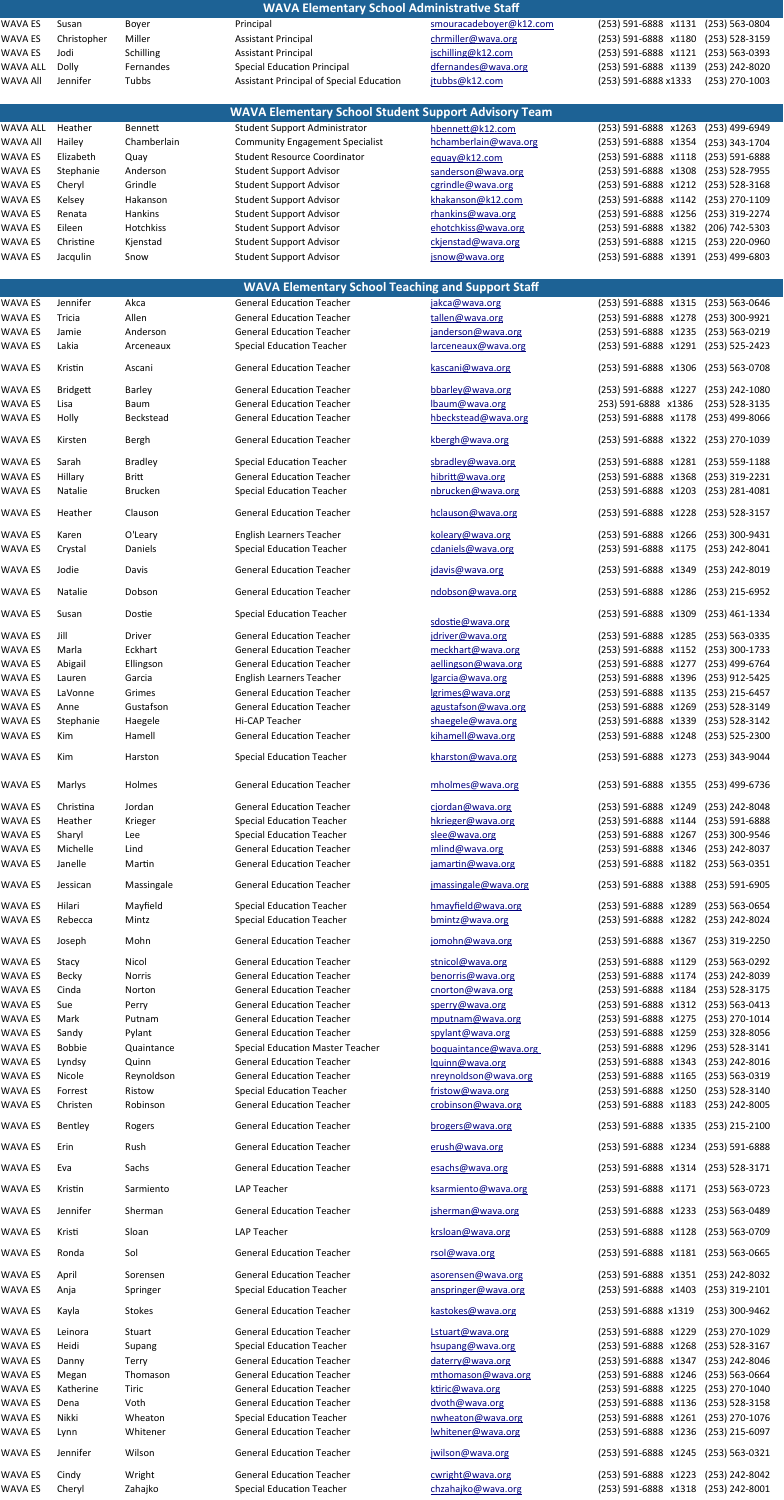|                           |                   |                      | WAVA Elementary School Administrative Staff                         |                                          |                                                                                  |
|---------------------------|-------------------|----------------------|---------------------------------------------------------------------|------------------------------------------|----------------------------------------------------------------------------------|
| WAVA ES                   | Susan             | Boyer                | Principal                                                           | smouracadeboyer@k12.com                  | (253) 563-0804<br>(253) 591-6888 x1131                                           |
| WAVA ES                   | Christopher       | Miller               | <b>Assistant Principal</b>                                          | chrmiller@wava.org                       | (253) 591-6888 x1180<br>$(253) 528 - 3159$                                       |
| WAVA ES                   | Jodi              | Schilling            | <b>Assistant Principal</b>                                          | jschilling@k12.com                       | (253) 591-6888 x1121<br>(253) 563-0393                                           |
| <b>WAVA ALL</b>           | Dolly             | Fernandes            | <b>Special Education Principal</b>                                  | dfernandes@wava.org                      | (253) 591-6888 x1139<br>(253) 242-8020                                           |
| <b>WAVA All</b>           | Jennifer          | Tubbs                | Assistant Principal of Special Education                            | jtubbs@k12.com                           | (253) 591-6888 x1333<br>$(253)$ 270-1003                                         |
|                           |                   |                      |                                                                     |                                          |                                                                                  |
|                           |                   |                      | <b>WAVA Elementary School Student Support Advisory Team</b>         |                                          |                                                                                  |
| WAVA ALL                  | Heather           | <b>Bennett</b>       | <b>Student Support Administrator</b>                                | hbennett@k12.com                         | (253) 591-6888 x1263<br>(253) 499-6949                                           |
| <b>WAVA All</b>           | Hailey            | Chamberlain          | <b>Community Engagement Specialist</b>                              | hchamberlain@wava.org                    | (253) 591-6888 x1354<br>(253) 343-1704                                           |
| WAVA ES                   | Elizabeth         | Quay                 | <b>Student Resource Coordinator</b>                                 | equay@k12.com                            | (253) 591-6888 x1118<br>(253) 591-6888                                           |
| WAVA ES                   | Stephanie         | Anderson             | <b>Student Support Advisor</b>                                      | sanderson@wava.org                       | (253) 591-6888 x1308<br>(253) 528-7955                                           |
| WAVA ES                   | Cheryl            | Grindle              | <b>Student Support Advisor</b>                                      | cgrindle@wava.org                        | (253) 591-6888 x1212<br>$(253) 528 - 3168$                                       |
| WAVA ES<br><b>WAVA ES</b> | Kelsey            | Hakanson             | <b>Student Support Advisor</b>                                      | khakanson@k12.com                        | (253) 591-6888 x1142<br>(253) 270-1109                                           |
| WAVA ES                   | Renata<br>Eileen  | Hankins<br>Hotchkiss | <b>Student Support Advisor</b><br><b>Student Support Advisor</b>    | rhankins@wava.org<br>ehotchkiss@wava.org | (253) 591-6888 x1256<br>(253) 319-2274<br>(253) 591-6888 x1382                   |
| <b>WAVA ES</b>            | Christine         | Kjenstad             | <b>Student Support Advisor</b>                                      | ckjenstad@wava.org                       | (206) 742-5303<br>(253) 591-6888 x1215<br>(253) 220-0960                         |
| WAVA ES                   | Jacqulin          | Snow                 | <b>Student Support Advisor</b>                                      | jsnow@wava.org                           | (253) 591-6888 x1391<br>$(253)$ 499-6803                                         |
|                           |                   |                      |                                                                     |                                          |                                                                                  |
|                           |                   |                      | <b>WAVA Elementary School Teaching and Support Staff</b>            |                                          |                                                                                  |
| WAVA ES                   | Jennifer          | Akca                 | <b>General Education Teacher</b>                                    | jakca@wava.org                           | (253) 591-6888 x1315<br>$(253) 563 - 0646$                                       |
| WAVA ES                   | Tricia            | Allen                | <b>General Education Teacher</b>                                    | tallen@wava.org                          | (253) 591-6888 x1278<br>(253) 300-9921                                           |
| WAVA ES                   | Jamie             | Anderson             | <b>General Education Teacher</b>                                    | janderson@wava.org                       | (253) 591-6888 x1235<br>(253) 563-0219                                           |
| WAVA ES                   | Lakia             | Arceneaux            | <b>Special Education Teacher</b>                                    | larceneaux@wava.org                      | (253) 591-6888 x1291<br>$(253) 525 - 2423$                                       |
|                           |                   |                      |                                                                     |                                          |                                                                                  |
| WAVA ES                   | Kristin           | Ascani               | <b>General Education Teacher</b>                                    | kascani@wava.org                         | (253) 591-6888 x1306<br>$(253) 563 - 0708$                                       |
| WAVA ES                   | <b>Bridgett</b>   | <b>Barley</b>        | <b>General Education Teacher</b>                                    | bbarley@wava.org                         | (253) 591-6888 x1227<br>(253) 242-1080                                           |
| <b>WAVA ES</b>            | Lisa              | Baum                 | <b>General Education Teacher</b>                                    | lbaum@wava.org                           | 253) 591-6888 x1386<br>$(253) 528 - 3135$                                        |
| WAVA ES                   | Holly             | Beckstead            | <b>General Education Teacher</b>                                    | hbeckstead@wava.org                      | (253) 591-6888 x1178<br>$(253)$ 499-8066                                         |
| <b>WAVA ES</b>            | Kirsten           | <b>Bergh</b>         | <b>General Education Teacher</b>                                    | kbergh@wava.org                          | (253) 591-6888 x1322 (253) 270-1039                                              |
|                           |                   |                      |                                                                     |                                          |                                                                                  |
| <b>WAVA ES</b>            | Sarah             | <b>Bradley</b>       | <b>Special Education Teacher</b>                                    | sbradley@wava.org                        | $(253) 559 - 1188$<br>(253) 591-6888 x1281                                       |
| <b>WAVA ES</b>            | Hillary           | <b>Britt</b>         | <b>General Education Teacher</b>                                    | hibritt@wava.org                         | (253) 591-6888 x1368<br>(253) 319-2231                                           |
| <b>WAVA ES</b>            | Natalie           | <b>Brucken</b>       | <b>Special Education Teacher</b>                                    | nbrucken@wava.org                        | (253) 591-6888 x1203<br>(253) 281-4081                                           |
| WAVA ES                   | Heather           | Clauson              | <b>General Education Teacher</b>                                    | hclauson@wava.org                        | (253) 591-6888 x1228<br>(253) 528-3157                                           |
|                           |                   |                      |                                                                     |                                          |                                                                                  |
| <b>WAVA ES</b>            | Karen             | O'Leary              | <b>English Learners Teacher</b>                                     | koleary@wava.org                         | (253) 591-6888 x1266<br>(253) 300-9431                                           |
| WAVA ES                   | Crystal           | Daniels              | <b>Special Education Teacher</b>                                    | cdaniels@wava.org                        | (253) 591-6888 x1175<br>(253) 242-8041                                           |
| WAVA ES                   | Jodie             | Davis                | <b>General Education Teacher</b>                                    | jdavis@wava.org                          | (253) 591-6888 x1349<br>(253) 242-8019                                           |
|                           |                   |                      |                                                                     |                                          |                                                                                  |
| <b>WAVA ES</b>            | Natalie           | Dobson               | <b>General Education Teacher</b>                                    | ndobson@wava.org                         | (253) 591-6888 x1286 (253) 215-6952                                              |
| WAVA ES                   | Susan             | Dostie               | <b>Special Education Teacher</b>                                    |                                          | (253) 591-6888 x1309<br>(253) 461-1334                                           |
|                           |                   |                      |                                                                     | sdostie@wava.org                         |                                                                                  |
| <b>WAVA ES</b>            | Jill              | Driver               | <b>General Education Teacher</b>                                    | jdriver@wava.org                         | (253) 591-6888 x1285<br>(253) 563-0335                                           |
| WAVA ES                   | Marla             | Eckhart              | <b>General Education Teacher</b>                                    | meckhart@wava.org                        | (253) 591-6888 x1152<br>(253) 300-1733                                           |
| WAVA ES                   | Abigail           | Ellingson            | <b>General Education Teacher</b>                                    | aellingson@wava.org                      | (253) 591-6888 x1277<br>(253) 499-6764                                           |
| WAVA ES<br><b>WAVA ES</b> | Lauren<br>LaVonne | Garcia<br>Grimes     | <b>English Learners Teacher</b><br><b>General Education Teacher</b> | lgarcia@wava.org<br>lgrimes@wava.org     | (253) 591-6888 x1396<br>(253) 912-5425<br>(253) 591-6888 x1135<br>(253) 215-6457 |
| WAVA ES                   | Anne              | Gustafson            | <b>General Education Teacher</b>                                    | agustafson@wava.org                      | (253) 591-6888 x1269<br>(253) 528-3149                                           |
| WAVA ES                   | Stephanie         | Haegele              | Hi-CAP Teacher                                                      | shaegele@wava.org                        | (253) 591-6888 x1339<br>(253) 528-3142                                           |
| WAVA ES                   | Kim               | Hamell               | <b>General Education Teacher</b>                                    | kihamell@wava.org                        | (253) 591-6888 x1248<br>(253) 525-2300                                           |
|                           |                   |                      |                                                                     |                                          |                                                                                  |
| WAVA ES                   | Kim               | Harston              | <b>Special Education Teacher</b>                                    | kharston@wava.org                        | (253) 591-6888 x1273<br>(253) 343-9044                                           |
|                           |                   |                      |                                                                     |                                          |                                                                                  |
| <b>WAVA ES</b>            | Marlys            | Holmes               | <b>General Education Teacher</b>                                    | mholmes@wava.org                         | (253) 591-6888 x1355 (253) 499-6736                                              |
| <b>WAVA ES</b>            | Christina         | Jordan               | <b>General Education Teacher</b>                                    | cjordan@wava.org                         | (253) 591-6888 x1249<br>(253) 242-8048                                           |
| WAVA ES                   | Heather           | Krieger              | <b>Special Education Teacher</b>                                    | hkrieger@wava.org                        | (253) 591-6888 x1144<br>(253) 591-6888                                           |
| <b>WAVA ES</b>            | Sharyl            | Lee                  | <b>Special Education Teacher</b>                                    | slee@wava.org                            | (253) 591-6888 x1267<br>(253) 300-9546                                           |
| WAVA ES                   | Michelle          | Lind                 | <b>General Education Teacher</b>                                    | mlind@wava.org                           | (253) 591-6888 x1346 (253) 242-8037                                              |
| WAVA ES                   | Janelle           | Martin               | <b>General Education Teacher</b>                                    | jamartin@wava.org                        | (253) 591-6888 x1182 (253) 563-0351                                              |
| WAVA ES                   | Jessican          | Massingale           | <b>General Education Teacher</b>                                    | jmassingale@wava.org                     | (253) 591-6888 x1388 (253) 591-6905                                              |
|                           |                   |                      |                                                                     |                                          |                                                                                  |
| <b>WAVA ES</b>            | Hilari            | Mayfield             | <b>Special Education Teacher</b>                                    | hmayfield@wava.org                       | (253) 591-6888 x1289<br>(253) 563-0654                                           |
| WAVA ES                   | Rebecca           | Mintz                | <b>Special Education Teacher</b>                                    | bmintz@wava.org                          | (253) 591-6888 x1282<br>(253) 242-8024                                           |
| WAVA ES                   | Joseph            | Mohn                 | <b>General Education Teacher</b>                                    | jomohn@wava.org                          | (253) 591-6888 x1367<br>(253) 319-2250                                           |
| <b>WAVA ES</b>            | Stacy             | Nicol                | <b>General Education Teacher</b>                                    | stnicol@wava.org                         | (253) 591-6888 x1129<br>(253) 563-0292                                           |
| WAVA ES                   | <b>Becky</b>      | Norris               | <b>General Education Teacher</b>                                    | benorris@wava.org                        | (253) 591-6888 x1174<br>(253) 242-8039                                           |
| <b>WAVA ES</b>            | Cinda             | Norton               | <b>General Education Teacher</b>                                    | cnorton@wava.org                         | (253) 591-6888 x1184<br>(253) 528-3175                                           |
| <b>WAVA ES</b>            | Sue               | Perry                | <b>General Education Teacher</b>                                    | sperry@wava.org                          | (253) 591-6888 x1312<br>(253) 563-0413                                           |
| <b>WAVA ES</b>            | Mark              | Putnam               | <b>General Education Teacher</b>                                    | mputnam@wava.org                         | (253) 591-6888 x1275<br>(253) 270-1014                                           |
| WAVA ES                   | Sandy             | Pylant               | <b>General Education Teacher</b>                                    | spylant@wava.org                         | (253) 591-6888 x1259<br>(253) 328-8056                                           |
| <b>WAVA ES</b>            | <b>Bobbie</b>     | Quaintance           | <b>Special Education Master Teacher</b>                             | boquaintance@wava.org                    | (253) 591-6888 x1296<br>(253) 528-3141                                           |
| WAVA ES                   | Lyndsy            | Quinn                | <b>General Education Teacher</b>                                    | lquinn@wava.org                          | (253) 591-6888 x1343<br>(253) 242-8016                                           |
| <b>WAVA ES</b>            | Nicole            | Reynoldson           | <b>General Education Teacher</b>                                    | nreynoldson@wava.org                     | (253) 591-6888 x1165<br>(253) 563-0319                                           |
| <b>WAVA ES</b>            | Forrest           | Ristow               | <b>Special Education Teacher</b>                                    | fristow@wava.org                         | (253) 591-6888 x1250<br>(253) 528-3140                                           |
| WAVA ES                   | Christen          | Robinson             | <b>General Education Teacher</b>                                    | crobinson@wava.org                       | (253) 591-6888 x1183<br>(253) 242-8005                                           |
| WAVA ES                   | Bentley           | Rogers               | <b>General Education Teacher</b>                                    | brogers@wava.org                         | (253) 591-6888 x1335<br>(253) 215-2100                                           |
|                           |                   |                      |                                                                     |                                          |                                                                                  |
| WAVA ES                   | Erin              | Rush                 | <b>General Education Teacher</b>                                    | erush@wava.org                           | (253) 591-6888 x1234 (253) 591-6888                                              |
| WAVA ES                   | Eva               | Sachs                | <b>General Education Teacher</b>                                    | esachs@wava.org                          | (253) 591-6888 x1314 (253) 528-3171                                              |
| WAVA ES                   | Kristin           | Sarmiento            | LAP Teacher                                                         | ksarmiento@wava.org                      | (253) 591-6888 x1171<br>(253) 563-0723                                           |
|                           |                   |                      |                                                                     |                                          |                                                                                  |
| <b>WAVA ES</b>            | Jennifer          | Sherman              | <b>General Education Teacher</b>                                    | jsherman@wava.org                        | (253) 591-6888 x1233<br>(253) 563-0489                                           |
| WAVA ES                   | Kristi            | Sloan                | LAP Teacher                                                         | krsloan@wava.org                         | (253) 563-0709<br>(253) 591-6888 x1128                                           |
|                           |                   |                      |                                                                     |                                          |                                                                                  |
| WAVA ES                   | Ronda             | Sol                  | <b>General Education Teacher</b>                                    | rsol@wava.org                            | (253) 591-6888 x1181<br>$(253) 563 - 0665$                                       |
| WAVA ES                   | April             | Sorensen             | <b>General Education Teacher</b>                                    | asorensen@wava.org                       | (253) 591-6888 x1351<br>(253) 242-8032                                           |
| WAVA ES                   | Anja              | Springer             | <b>Special Education Teacher</b>                                    | anspringer@wava.org                      | (253) 591-6888 x1403 (253) 319-2101                                              |
|                           |                   |                      |                                                                     |                                          |                                                                                  |
| WAVA ES                   | Kayla             | <b>Stokes</b>        | <b>General Education Teacher</b>                                    | kastokes@wava.org                        | (253) 300-9462<br>(253) 591-6888 x1319                                           |
| WAVA ES                   | Leinora           | Stuart               | <b>General Education Teacher</b>                                    | Lstuart@wava.org                         | (253) 270-1029<br>(253) 591-6888 x1229                                           |
| WAVA ES                   | Heidi             | Supang               | <b>Special Education Teacher</b>                                    | hsupang@wava.org                         | (253) 591-6888 x1268<br>$(253) 528 - 3167$                                       |
| WAVA ES                   | Danny             | Terry                | <b>General Education Teacher</b>                                    | daterry@wava.org                         | (253) 591-6888 x1347<br>(253) 242-8046                                           |
| WAVA ES                   | Megan             | Thomason             | <b>General Education Teacher</b>                                    | mthomason@wava.org                       | (253) 591-6888 x1246<br>$(253) 563 - 0664$                                       |
| WAVA ES                   | Katherine         | Tiric                | <b>General Education Teacher</b>                                    | ktiric@wava.org                          | (253) 591-6888 x1225<br>(253) 270-1040                                           |
| WAVA ES                   | Dena              | Voth                 | <b>General Education Teacher</b>                                    | dvoth@wava.org                           | (253) 591-6888 x1136<br>(253) 528-3158                                           |
| WAVA ES                   | Nikki             | Wheaton              | <b>Special Education Teacher</b>                                    | nwheaton@wava.org                        | (253) 591-6888 x1261<br>(253) 270-1076                                           |
| WAVA ES                   | Lynn              | Whitener             | <b>General Education Teacher</b>                                    | lwhitener@wava.org                       | (253) 591-6888 x1236<br>(253) 215-6097                                           |
| WAVA ES                   | Jennifer          | Wilson               | <b>General Education Teacher</b>                                    | jwilson@wava.org                         | (253) 591-6888 x1245<br>(253) 563-0321                                           |
|                           |                   |                      |                                                                     |                                          |                                                                                  |
| WAVA ES                   | Cindy             | Wright               | <b>General Education Teacher</b>                                    | cwright@wava.org                         | (253) 591-6888 x1223 (253) 242-8042                                              |
| WAVA ES                   | Cheryl            | Zahajko              | <b>Special Education Teacher</b>                                    | chzahajko@wava.org                       | (253) 591-6888 x1318 (253) 242-8001                                              |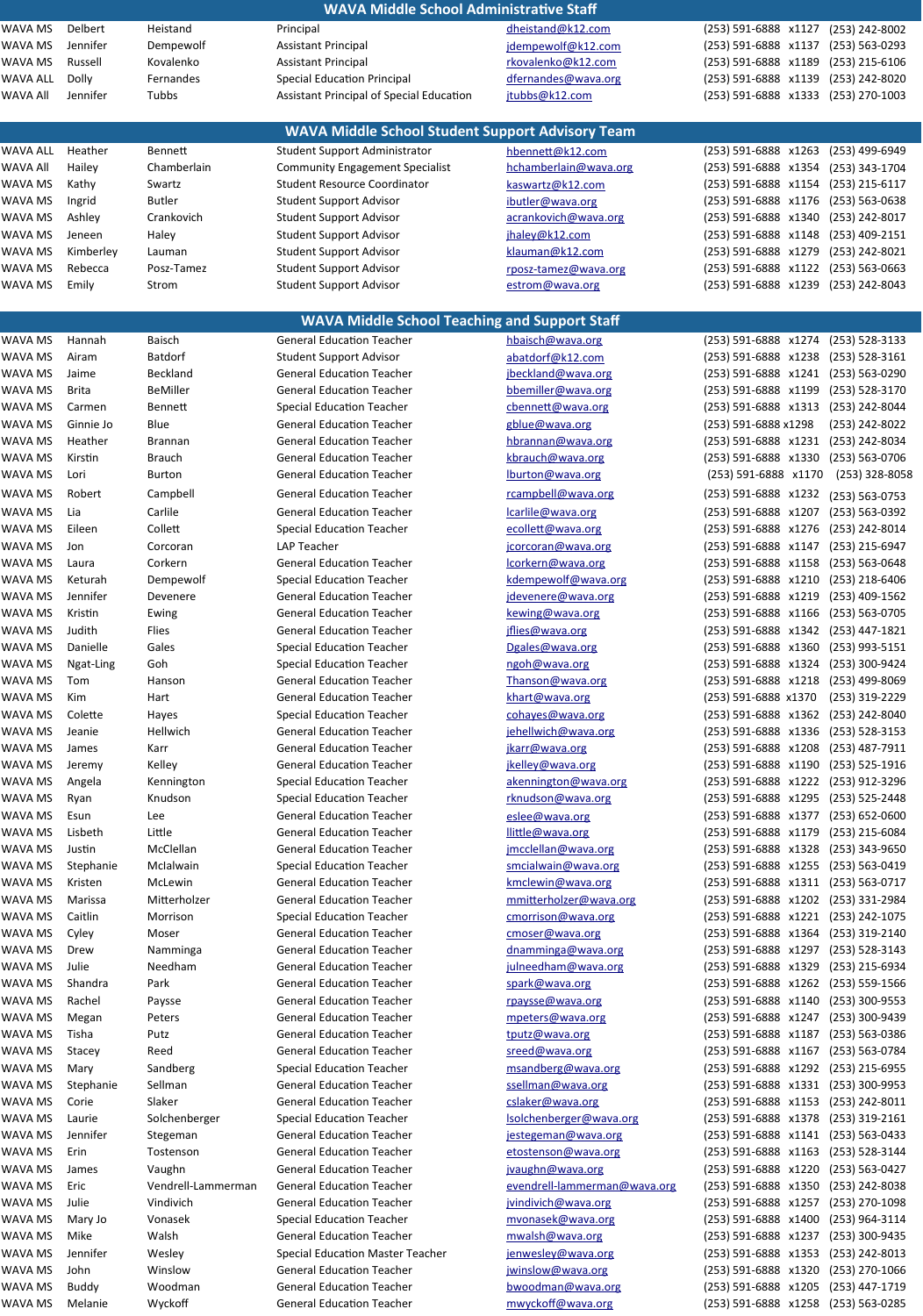|                 |              |                 | <b>WAVA Middle School Administrative Staff</b>          |                        |                                            |
|-----------------|--------------|-----------------|---------------------------------------------------------|------------------------|--------------------------------------------|
| WAVA MS         | Delbert      | Heistand        | Principal                                               | dheistand@k12.com      | (253) 591-6888 x1127<br>(253) 242-8002     |
| WAVA MS         | Jennifer     | Dempewolf       | <b>Assistant Principal</b>                              | jdempewolf@k12.com     | (253) 591-6888 x1137<br>$(253) 563 - 0293$ |
| WAVA MS         | Russell      | Kovalenko       | <b>Assistant Principal</b>                              | rkovalenko@k12.com     | (253) 591-6888 x1189<br>$(253)$ 215-6106   |
| <b>WAVA ALL</b> | <b>Dolly</b> | Fernandes       | <b>Special Education Principal</b>                      | dfernandes@wava.org    | (253) 591-6888 x1139<br>(253) 242-8020     |
| <b>WAVA All</b> | Jennifer     | Tubbs           | Assistant Principal of Special Education                | jtubbs@k12.com         | (253) 591-6888 x1333<br>(253) 270-1003     |
|                 |              |                 |                                                         |                        |                                            |
|                 |              |                 | <b>WAVA Middle School Student Support Advisory Team</b> |                        |                                            |
| <b>WAVA ALL</b> | Heather      | <b>Bennett</b>  | Student Support Administrator                           | hbennett@k12.com       | (253) 591-6888 x1263<br>(253) 499-6949     |
| <b>WAVA All</b> | Hailey       | Chamberlain     | <b>Community Engagement Specialist</b>                  | hchamberlain@wava.org  | (253) 591-6888 x1354<br>(253) 343-1704     |
| WAVA MS         | Kathy        | Swartz          | <b>Student Resource Coordinator</b>                     | kaswartz@k12.com       | (253) 591-6888 x1154<br>(253) 215-6117     |
| WAVA MS         | Ingrid       | <b>Butler</b>   | <b>Student Support Advisor</b>                          | ibutler@wava.org       | (253) 591-6888 x1176<br>$(253) 563 - 0638$ |
| WAVA MS         | Ashley       | Crankovich      | <b>Student Support Advisor</b>                          | acrankovich@wava.org   | (253) 591-6888 x1340<br>(253) 242-8017     |
| WAVA MS         | Jeneen       | Haley           | <b>Student Support Advisor</b>                          | jhaley@k12.com         | (253) 591-6888 x1148<br>(253) 409-2151     |
| WAVA MS         | Kimberley    | Lauman          | <b>Student Support Advisor</b>                          | klauman@k12.com        | (253) 591-6888 x1279<br>(253) 242-8021     |
| <b>WAVA MS</b>  | Rebecca      | Posz-Tamez      | <b>Student Support Advisor</b>                          | rposz-tamez@wava.org   | (253) 591-6888 x1122<br>$(253) 563 - 0663$ |
| WAVA MS         | Emily        | Strom           | <b>Student Support Advisor</b>                          | estrom@wava.org        | (253) 591-6888 x1239 (253) 242-8043        |
|                 |              |                 |                                                         |                        |                                            |
|                 |              |                 | <b>WAVA Middle School Teaching and Support Staff</b>    |                        |                                            |
| WAVA MS         | Hannah       | <b>Baisch</b>   | <b>General Education Teacher</b>                        | hbaisch@wava.org       | (253) 591-6888 x1274<br>$(253) 528 - 3133$ |
| WAVA MS         | Airam        | <b>Batdorf</b>  | <b>Student Support Advisor</b>                          | abatdorf@k12.com       | (253) 591-6888 x1238<br>$(253) 528 - 3161$ |
| WAVA MS         | Jaime        | Beckland        | <b>General Education Teacher</b>                        | jbeckland@wava.org     | (253) 591-6888 x1241<br>(253) 563-0290     |
| WAVA MS         | <b>Brita</b> | <b>BeMiller</b> | <b>General Education Teacher</b>                        | bbemiller@wava.org     | (253) 591-6888 x1199<br>(253) 528-3170     |
| WAVA MS         | Carmen       | <b>Bennett</b>  | <b>Special Education Teacher</b>                        | cbennett@wava.org      | (253) 591-6888 x1313<br>(253) 242-8044     |
| WAVA MS         | Ginnie Jo    | Blue            | <b>General Education Teacher</b>                        | gblue@wava.org         | (253) 591-6888 x1298<br>(253) 242-8022     |
| WAVA MS         | Heather      | <b>Brannan</b>  | <b>General Education Teacher</b>                        | hbrannan@wava.org      | (253) 591-6888 x1231<br>(253) 242-8034     |
| WAVA MS         | Kirstin      | <b>Brauch</b>   | <b>General Education Teacher</b>                        | kbrauch@wava.org       | (253) 591-6888 x1330<br>(253) 563-0706     |
| WAVA MS         | Lori         | <b>Burton</b>   | <b>General Education Teacher</b>                        | lburton@wava.org       | (253) 591-6888 x1170<br>$(253)$ 328-8058   |
| WAVA MS         | Robert       | Campbell        | <b>General Education Teacher</b>                        | rcampbell@wava.org     | (253) 591-6888 x1232<br>(253) 563-0753     |
| WAVA MS         | Lia          | Carlile         | <b>General Education Teacher</b>                        | carlile@wava.org       | (253) 591-6888 x1207 (253) 563-0392        |
| WAVA MS         | Eileen       | Collett         | <b>Special Education Teacher</b>                        | ecollett@wava.org      | (253) 591-6888 x1276 (253) 242-8014        |
| WAVA MS         | Jon          | Corcoran        | LAP Teacher                                             | jcorcoran@wava.org     | (253) 591-6888 x1147<br>(253) 215-6947     |
| WAVA MS         | Laura        | Corkern         | <b>General Education Teacher</b>                        | lcorkern@wava.org      | (253) 591-6888 x1158<br>(253) 563-0648     |
| WAVA MS         | Keturah      | Dempewolf       | <b>Special Education Teacher</b>                        | kdempewolf@wava.org    | (253) 591-6888 x1210<br>$(253)$ 218-6406   |
| WAVA MS         | Jennifer     | Devenere        | <b>General Education Teacher</b>                        | jdevenere@wava.org     | (253) 591-6888 x1219<br>(253) 409-1562     |
| WAVA MS         | Kristin      | Ewing           | <b>General Education Teacher</b>                        | kewing@wava.org        | (253) 591-6888 x1166<br>(253) 563-0705     |
| WAVA MS         | Judith       | Flies           | <b>General Education Teacher</b>                        | jflies@wava.org        | (253) 591-6888 x1342 (253) 447-1821        |
| WAVA MS         | Danielle     | Gales           | <b>Special Education Teacher</b>                        | Dgales@wava.org        | (253) 591-6888 x1360<br>(253) 993-5151     |
| WAVA MS         | Ngat-Ling    | Goh             | <b>Special Education Teacher</b>                        | ngoh@wava.org          | (253) 591-6888 x1324 (253) 300-9424        |
| WAVA MS         | Tom          | Hanson          | <b>General Education Teacher</b>                        | Thanson@wava.org       | (253) 591-6888 x1218<br>(253) 499-8069     |
| WAVA MS         | Kim          | Hart            | <b>General Education Teacher</b>                        | khart@wava.org         | (253) 591-6888 x1370<br>(253) 319-2229     |
| WAVA MS         | Colette      | Hayes           | <b>Special Education Teacher</b>                        | cohayes@wava.org       | (253) 591-6888 x1362<br>(253) 242-8040     |
| WAVA MS         | Jeanie       | Hellwich        | <b>General Education Teacher</b>                        | jehellwich@wava.org    | (253) 591-6888 x1336 (253) 528-3153        |
| WAVA MS         | James        | Karr            | <b>General Education Teacher</b>                        | jkarr@wava.org         | (253) 591-6888 x1208<br>(253) 487-7911     |
| WAVA MS         | Jeremy       | Kelley          | <b>General Education Teacher</b>                        | jkelley@wava.org       | (253) 591-6888 x1190 (253) 525-1916        |
| WAVA MS         | Angela       | Kennington      | <b>Special Education Teacher</b>                        | akennington@wava.org   | (253) 591-6888 x1222 (253) 912-3296        |
| WAVA MS         | Ryan         | Knudson         | <b>Special Education Teacher</b>                        | rknudson@wava.org      | (253) 591-6888 x1295<br>(253) 525-2448     |
| WAVA MS         | Esun         | Lee             | <b>General Education Teacher</b>                        | eslee@wava.org         | (253) 591-6888 x1377<br>$(253) 652 - 0600$ |
| WAVA MS         | Lisbeth      | Little          | <b>General Education Teacher</b>                        | llittle@wava.org       | (253) 591-6888 x1179<br>(253) 215-6084     |
| WAVA MS         | Justin       | McClellan       | <b>General Education Teacher</b>                        | jmcclellan@wava.org    | (253) 591-6888 x1328<br>$(253)$ 343-9650   |
| WAVA MS         | Stephanie    | Mclalwain       | <b>Special Education Teacher</b>                        | smcialwain@wava.org    | (253) 591-6888 x1255<br>(253) 563-0419     |
| WAVA MS         | Kristen      | McLewin         | <b>General Education Teacher</b>                        | kmclewin@wava.org      | (253) 591-6888 x1311<br>(253) 563-0717     |
| WAVA MS         | Marissa      | Mitterholzer    | <b>General Education Teacher</b>                        | mmitterholzer@wava.org | (253) 591-6888 x1202<br>(253) 331-2984     |
| WAVA MS         | Caitlin      | Morrison        | <b>Special Education Teacher</b>                        | cmorrison@wava.org     | (253) 591-6888 x1221<br>(253) 242-1075     |
| WAVA MS         | Cyley        | Moser           | <b>General Education Teacher</b>                        | cmoser@wava.org        | (253) 591-6888 x1364<br>(253) 319-2140     |
| WAVA MS         | Drew         | Namminga        | <b>General Education Teacher</b>                        | dnamminga@wava.org     | (253) 591-6888 x1297<br>$(253) 528 - 3143$ |
| WAVA MS         | Julie        | Needham         | <b>General Education Teacher</b>                        | julneedham@wava.org    | (253) 591-6888 x1329<br>(253) 215-6934     |
| WAVA MS         | Shandra      | Park            | <b>General Education Teacher</b>                        | spark@wava.org         | (253) 591-6888 x1262<br>(253) 559-1566     |

WAVA MS Rachel Paysse Seneral Education Teacher Charlotte Baysse Communication Teacher (253) 591-6888 x1140 (253) 300-9553

| NAVA MS        | Megan     |
|----------------|-----------|
| <b>NAVA MS</b> | Tisha     |
| NAVA MS        | Stacey    |
| NAVA MS        | Mary      |
| NAVA MS        | Stephanie |
| <b>NAVA MS</b> | Corie     |
| VAVA MS        | Laurie    |
| VAVA MS        | Jennifer  |
| <b>NAVA MS</b> | Erin      |
| <b>NAVA MS</b> | James     |
| <b>NAVA MS</b> | Eric      |
| NAVA MS        | Julie     |
| NAVA MS        | Mary Jo   |
| VAVA MS        | Mike      |
| VAVA MS        | Jennifer  |
| NAVA MS        | John      |
| NAVA MS        | Buddy     |
| <b>NAVA MS</b> | Melanie   |

rpaysse@wava.org

Peters General Education Teacher more interes on the eters General Education Teacher (253) 591-6888 x1247 (253) 300-9439 Putz Ceneral Education Teacher by the transformation of the transformation of the transformation of the transformation of the transformation of the transformation of the transformation of the transformation of the transfor Reed General Education Teacher States of the State of Article Case of the Stace (253) 591-6888 x1167 (253) 563-0784 Sandberg Special Education Teacher **Mary School Special Education Teacher** (253) 591-6888 x1292 (253) 215-6955 Sellman General Education Teacher Superinten Communication Sellman @wava.org (253) 591-6888 x1331 (253) 300-9953 Slaker General Education Teacher correstance controvava.org (253) 591-6888 x1153 (253) 242-8011 Solchenberger Special Education Teacher (Solchenberger @wava.org (253) 591-6888 x1378 (253) 319-2161 Stegeman General Education Teacher (253) 591-6888 x1141 (253) 563-0433 Tostenson General Education Teacher etostenson@wava.org (253) 591-6888 x1163 (253) 528-3144 Vaughn General Education Teacher (253) 591-6888 x1220 (253) 563-0427 Vendrell-Lammerman General Education Teacher extendion over the evendrell-lammerman@wava.org (253) 591-6888 x1350 (253) 242-8038 Vindivich General Education Teacher (2013) indivich Gwava.org (253) 591-6888 x1257 (253) 270-1098 Vonasek Special Education Teacher monasek @wava.org (253) 591-6888 x1400 (253) 964-3114 Walsh General Education Teacher mwalsh@wava.org (253) 591-6888 x1237 (253) 300-9435 Wesley Special Education Master Teacher in the subsety of the set of the Special Education Master Teacher (250)  $\frac{1}{25}$  (253) 591-6888 x1353 (253) 242-8013 Winslow General Education Teacher (2013) in the University of Australian School (253) 591-6888 x1320 (253) 270-1066 Woodman General Education Teacher bwoodman@wava.org (253) 591-6888 x1205 (253) 447-1719 Wyckoff **General Education Teacher** mwyckoff@wava.org (253) 591-6888 x1258 (253) 563-0285

mpeters@wava.org tputz@wava.org sreed@wava.org msandberg@wava.org ssellman@wava.org cslaker@wava.org lsolchenberger@wava.org jestegeman@wava.org etostenson@wava.org jvaughn@wava.org evendrell-lammerman@wava.org jvindivich@wava.org mvonasek@wava.org mwalsh@wava.org jenwesley@wava.org jwinslow@wava.org bwoodman@wava.org mwyckoff@wava.org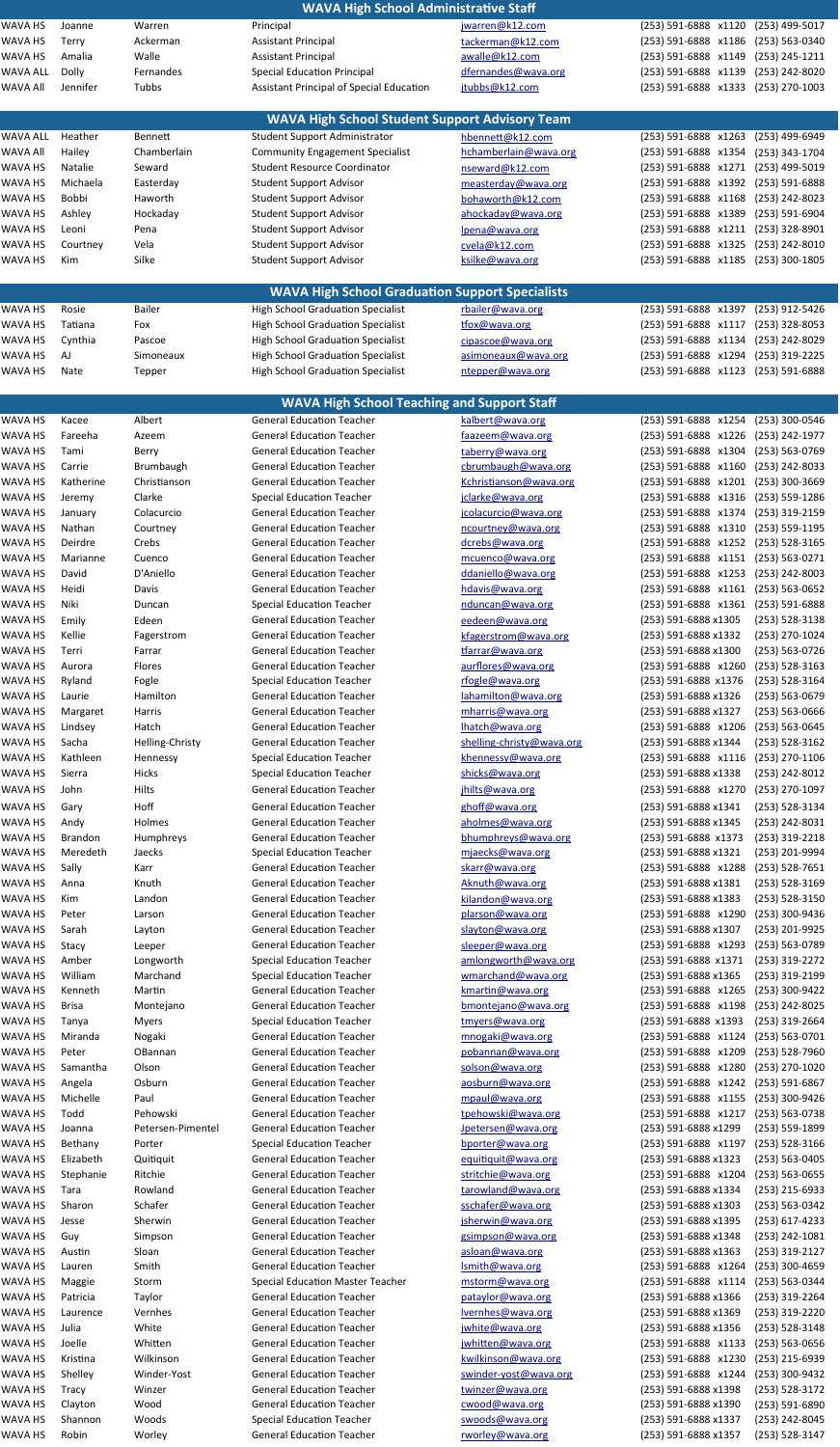|                 |                |                   | <b>WAVA High School Administrative Staff</b>           |                           |                                            |
|-----------------|----------------|-------------------|--------------------------------------------------------|---------------------------|--------------------------------------------|
| WAVA HS         | Joanne         | Warren            | Principal                                              | jwarren@k12.com           | (253) 499-5017<br>(253) 591-6888 x1120     |
| WAVA HS         | Terry          | Ackerman          | <b>Assistant Principal</b>                             | tackerman@k12.com         | (253) 591-6888 x1186<br>(253) 563-0340     |
| WAVA HS         | Amalia         | Walle             | <b>Assistant Principal</b>                             | awalle@k12.com            | (253) 591-6888 x1149<br>$(253)$ 245-1211   |
|                 |                |                   |                                                        |                           |                                            |
| WAVA ALL        | <b>Dolly</b>   | Fernandes         | <b>Special Education Principal</b>                     | dfernandes@wava.org       | (253) 591-6888 x1139<br>(253) 242-8020     |
| <b>WAVA All</b> | Jennifer       | Tubbs             | Assistant Principal of Special Education               | jtubbs@k12.com            | (253) 591-6888 x1333<br>(253) 270-1003     |
|                 |                |                   |                                                        |                           |                                            |
|                 |                |                   | <b>WAVA High School Student Support Advisory Team</b>  |                           |                                            |
| WAVA ALL        | Heather        | <b>Bennett</b>    | <b>Student Support Administrator</b>                   | hbennett@k12.com          | (253) 591-6888 x1263<br>(253) 499-6949     |
| WAVA All        | Hailey         | Chamberlain       | <b>Community Engagement Specialist</b>                 | hchamberlain@wava.org     | (253) 591-6888 x1354<br>(253) 343-1704     |
|                 |                |                   |                                                        |                           |                                            |
| WAVA HS         | <b>Natalie</b> | Seward            | <b>Student Resource Coordinator</b>                    | nseward@k12.com           | (253) 591-6888 x1271<br>(253) 499-5019     |
| WAVA HS         | Michaela       | Easterday         | <b>Student Support Advisor</b>                         | measterday@wava.org       | (253) 591-6888 x1392<br>(253) 591-6888     |
| WAVA HS         | <b>Bobbi</b>   | Haworth           | <b>Student Support Advisor</b>                         | bohaworth@k12.com         | (253) 591-6888 x1168<br>(253) 242-8023     |
| WAVA HS         | Ashley         | Hockaday          | <b>Student Support Advisor</b>                         | ahockaday@wava.org        | (253) 591-6888 x1389<br>(253) 591-6904     |
| WAVA HS         | Leoni          | Pena              | <b>Student Support Advisor</b>                         | lpena@wava.org            | (253) 591-6888 x1211<br>(253) 328-8901     |
| WAVA HS         |                | Vela              |                                                        |                           | (253) 591-6888 x1325<br>(253) 242-8010     |
|                 | Courtney       |                   | <b>Student Support Advisor</b>                         | cvela@k12.com             |                                            |
| WAVA HS         | Kim            | Silke             | <b>Student Support Advisor</b>                         | ksilke@wava.org           | (253) 591-6888 x1185<br>(253) 300-1805     |
|                 |                |                   |                                                        |                           |                                            |
|                 |                |                   | <b>WAVA High School Graduation Support Specialists</b> |                           |                                            |
| WAVA HS         | Rosie          | <b>Bailer</b>     | <b>High School Graduation Specialist</b>               | rbailer@wava.org          | (253) 591-6888 x1397<br>(253) 912-5426     |
| WAVA HS         | Tatiana        | Fox               | <b>High School Graduation Specialist</b>               | tfox@wava.org             | (253) 591-6888 x1117<br>$(253)$ 328-8053   |
|                 |                |                   |                                                        |                           |                                            |
| WAVA HS         | Cynthia        | Pascoe            | <b>High School Graduation Specialist</b>               | cipascoe@wava.org         | (253) 591-6888 x1134<br>(253) 242-8029     |
| WAVA HS         | AJ             | Simoneaux         | <b>High School Graduation Specialist</b>               | asimoneaux@wava.org       | (253) 591-6888 x1294<br>(253) 319-2225     |
| WAVA HS         | Nate           | Tepper            | <b>High School Graduation Specialist</b>               | ntepper@wava.org          | (253) 591-6888 x1123<br>(253) 591-6888     |
|                 |                |                   |                                                        |                           |                                            |
|                 |                |                   | <b>WAVA High School Teaching and Support Staff</b>     |                           |                                            |
| WAVA HS         | Kacee          | Albert            | <b>General Education Teacher</b>                       | kalbert@wava.org          | (253) 591-6888 x1254<br>(253) 300-0546     |
|                 |                |                   | <b>General Education Teacher</b>                       |                           |                                            |
| WAVA HS         | Fareeha        | Azeem             |                                                        | faazeem@wava.org          | (253) 591-6888 x1226<br>(253) 242-1977     |
| WAVA HS         | Tami           | Berry             | <b>General Education Teacher</b>                       | taberry@wava.org          | (253) 591-6888 x1304 (253) 563-0769        |
| WAVA HS         | Carrie         | <b>Brumbaugh</b>  | <b>General Education Teacher</b>                       | cbrumbaugh@wava.org       | (253) 591-6888 x1160<br>(253) 242-8033     |
| WAVA HS         | Katherine      | Christianson      | <b>General Education Teacher</b>                       | Kchristianson@wava.org    | (253) 591-6888 x1201<br>(253) 300-3669     |
| WAVA HS         | Jeremy         | Clarke            | <b>Special Education Teacher</b>                       | jclarke@wava.org          | (253) 591-6888 x1316<br>$(253) 559 - 1286$ |
| WAVA HS         | January        | Colacurcio        | <b>General Education Teacher</b>                       | jcolacurcio@wava.org      | (253) 591-6888 x1374<br>(253) 319-2159     |
|                 |                |                   |                                                        |                           |                                            |
| WAVA HS         | Nathan         | Courtney          | <b>General Education Teacher</b>                       | ncourtney@wava.org        | (253) 591-6888 x1310<br>$(253) 559-1195$   |
| WAVA HS         | Deirdre        | Crebs             | <b>General Education Teacher</b>                       | dcrebs@wava.org           | (253) 591-6888 x1252<br>$(253) 528 - 3165$ |
| WAVA HS         | Marianne       | Cuenco            | <b>General Education Teacher</b>                       | mcuenco@wava.org          | (253) 591-6888 x1151<br>$(253) 563 - 0271$ |
| WAVA HS         | David          | D'Aniello         | <b>General Education Teacher</b>                       | ddaniello@wava.org        | (253) 591-6888 x1253 (253) 242-8003        |
| WAVA HS         | Heidi          | Davis             | <b>General Education Teacher</b>                       | hdavis@wava.org           | (253) 591-6888 x1161<br>$(253) 563 - 0652$ |
| WAVA HS         | Niki           | Duncan            | <b>Special Education Teacher</b>                       | nduncan@wava.org          | (253) 591-6888 x1361<br>(253) 591-6888     |
|                 |                |                   |                                                        |                           |                                            |
| WAVA HS         | Emily          | Edeen             | <b>General Education Teacher</b>                       | eedeen@wava.org           | (253) 591-6888 x1305<br>$(253) 528 - 3138$ |
| WAVA HS         | Kellie         | Fagerstrom        | <b>General Education Teacher</b>                       | kfagerstrom@wava.org      | (253) 591-6888 x1332<br>(253) 270-1024     |
| WAVA HS         | Terri          | Farrar            | <b>General Education Teacher</b>                       | tfarrar@wava.org          | (253) 591-6888 x1300<br>(253) 563-0726     |
| WAVA HS         | Aurora         | Flores            | <b>General Education Teacher</b>                       | aurflores@wava.org        | (253) 591-6888 x1260<br>$(253) 528 - 3163$ |
| WAVA HS         | Ryland         | Fogle             | <b>Special Education Teacher</b>                       | rfogle@wava.org           | (253) 591-6888 x1376<br>(253) 528-3164     |
| WAVA HS         | Laurie         | Hamilton          | <b>General Education Teacher</b>                       | lahamilton@wava.org       | (253) 591-6888 x1326<br>$(253) 563 - 0679$ |
|                 |                |                   | <b>General Education Teacher</b>                       |                           |                                            |
| WAVA HS         | Margaret       | Harris            |                                                        | mharris@wava.org          | (253) 591-6888 x1327<br>(253) 563-0666     |
| WAVA HS         | Lindsey        | Hatch             | <b>General Education Teacher</b>                       | lhatch@wava.org           | (253) 591-6888 x1206<br>$(253) 563 - 0645$ |
| WAVA HS         | Sacha          | Helling-Christy   | <b>General Education Teacher</b>                       | shelling-christy@wava.org | (253) 591-6888 x1344<br>$(253) 528 - 3162$ |
| WAVA HS         | Kathleen       | Hennessy          | <b>Special Education Teacher</b>                       | khennessy@wava.org        | (253) 591-6888 x1116<br>$(253)$ 270-1106   |
| WAVA HS         | Sierra         | <b>Hicks</b>      | <b>Special Education Teacher</b>                       | shicks@wava.org           | (253) 591-6888 x1338<br>(253) 242-8012     |
|                 |                |                   |                                                        |                           |                                            |
| WAVA HS         | John           | Hilts             | <b>General Education Teacher</b>                       | jhilts@wava.org           | (253) 591-6888 x1270<br>(253) 270-1097     |
| WAVA HS         | Gary           | Hoff              | <b>General Education Teacher</b>                       | ghoff@wava.org            | (253) 591-6888 x1341<br>(253) 528-3134     |
| WAVA HS         | Andy           | Holmes            | <b>General Education Teacher</b>                       | aholmes@wava.org          | (253) 591-6888 x1345<br>(253) 242-8031     |
| WAVA HS         | <b>Brandon</b> | Humphreys         | <b>General Education Teacher</b>                       | bhumphreys@wava.org       | (253) 591-6888 x1373<br>(253) 319-2218     |
| WAVA HS         | Meredeth       | Jaecks            | <b>Special Education Teacher</b>                       | mjaecks@wava.org          | (253) 591-6888 x1321<br>(253) 201-9994     |
| WAVA HS         | Sally          | Karr              | <b>General Education Teacher</b>                       | skarr@wava.org            | (253) 591-6888 x1288<br>$(253) 528 - 7651$ |
|                 |                |                   |                                                        |                           |                                            |
| WAVA HS         | Anna           | Knuth             | <b>General Education Teacher</b>                       | Aknuth@wava.org           | (253) 591-6888 x1381<br>(253) 528-3169     |
| WAVA HS         | Kim            | Landon            | <b>General Education Teacher</b>                       | kilandon@wava.org         | (253) 591-6888 x1383<br>(253) 528-3150     |
| WAVA HS         | Peter          | Larson            | <b>General Education Teacher</b>                       | plarson@wava.org          | (253) 591-6888 x1290<br>(253) 300-9436     |
| WAVA HS         | Sarah          | Layton            | <b>General Education Teacher</b>                       | slayton@wava.org          | (253) 201-9925<br>(253) 591-6888 x1307     |
| WAVA HS         | Stacy          | Leeper            | <b>General Education Teacher</b>                       | sleeper@wava.org          | (253) 591-6888 x1293<br>(253) 563-0789     |
| WAVA HS         | Amber          | Longworth         | <b>Special Education Teacher</b>                       | amlongworth@wava.org      | (253) 591-6888 x1371<br>(253) 319-2272     |
|                 |                |                   |                                                        |                           |                                            |
| WAVA HS         | William        | Marchand          | <b>Special Education Teacher</b>                       | wmarchand@wava.org        | (253) 591-6888 x1365<br>(253) 319-2199     |
| WAVA HS         | Kenneth        | Martin            | <b>General Education Teacher</b>                       | kmartin@wava.org          | (253) 591-6888 x1265<br>(253) 300-9422     |
| WAVA HS         | <b>Brisa</b>   | Montejano         | <b>General Education Teacher</b>                       | bmontejano@wava.org       | (253) 591-6888 x1198<br>(253) 242-8025     |
| WAVA HS         | Tanya          | <b>Myers</b>      | <b>Special Education Teacher</b>                       | tmyers@wava.org           | (253) 591-6888 x1393<br>$(253)$ 319-2664   |
| WAVA HS         | Miranda        | Nogaki            | <b>General Education Teacher</b>                       | mnogaki@wava.org          | (253) 591-6888 x1124<br>(253) 563-0701     |
| WAVA HS         | Peter          | OBannan           | <b>General Education Teacher</b>                       | pobannan@wava.org         | (253) 591-6888 x1209<br>(253) 528-7960     |
| WAVA HS         | Samantha       | Olson             | <b>General Education Teacher</b>                       | solson@wava.org           | (253) 591-6888 x1280<br>(253) 270-1020     |
| WAVA HS         |                | Osburn            | <b>General Education Teacher</b>                       | aosburn@wava.org          | (253) 591-6888 x1242<br>$(253) 591 - 6867$ |
|                 | Angela         |                   |                                                        |                           |                                            |
| WAVA HS         | Michelle       | Paul              | <b>General Education Teacher</b>                       | mpaul@wava.org            | (253) 591-6888 x1155<br>(253) 300-9426     |
| WAVA HS         | Todd           | Pehowski          | <b>General Education Teacher</b>                       | tpehowski@wava.org        | (253) 591-6888 x1217<br>$(253) 563 - 0738$ |
| WAVA HS         | Joanna         | Petersen-Pimentel | <b>General Education Teacher</b>                       | Jpetersen@wava.org        | (253) 591-6888 x1299<br>(253) 559-1899     |
| WAVA HS         | Bethany        | Porter            | <b>Special Education Teacher</b>                       | bporter@wava.org          | (253) 591-6888 x1197<br>$(253) 528 - 3166$ |
| WAVA HS         | Elizabeth      | Quitiquit         | <b>General Education Teacher</b>                       | equitiquit@wava.org       | (253) 591-6888 x1323<br>(253) 563-0405     |
| WAVA HS         | Stephanie      | Ritchie           | <b>General Education Teacher</b>                       | stritchie@wava.org        | (253) 591-6888 x1204<br>$(253) 563 - 0655$ |
|                 |                |                   |                                                        |                           |                                            |
| WAVA HS         | Tara           | Rowland           | <b>General Education Teacher</b>                       | tarowland@wava.org        | (253) 591-6888 x1334<br>(253) 215-6933     |
| WAVA HS         | Sharon         | Schafer           | <b>General Education Teacher</b>                       | sschafer@wava.org         | (253) 591-6888 x1303<br>(253) 563-0342     |
| WAVA HS         | Jesse          | Sherwin           | <b>General Education Teacher</b>                       | jsherwin@wava.org         | (253) 591-6888 x1395<br>(253) 617-4233     |
| WAVA HS         | Guy            | Simpson           | <b>General Education Teacher</b>                       | gsimpson@wava.org         | (253) 591-6888 x1348<br>(253) 242-1081     |
| WAVA HS         | Austin         | Sloan             | <b>General Education Teacher</b>                       | asloan@wava.org           | (253) 591-6888 x1363<br>(253) 319-2127     |
| WAVA HS         | Lauren         | Smith             | <b>General Education Teacher</b>                       | Ismith@wava.org           | (253) 591-6888 x1264<br>(253) 300-4659     |
| WAVA HS         |                |                   |                                                        |                           |                                            |
|                 | Maggie         | Storm             | <b>Special Education Master Teacher</b>                | mstorm@wava.org           | (253) 591-6888 x1114<br>(253) 563-0344     |
| WAVA HS         | Patricia       | Taylor            | <b>General Education Teacher</b>                       | pataylor@wava.org         | (253) 591-6888 x1366<br>$(253)$ 319-2264   |
| WAVA HS         | Laurence       | Vernhes           | <b>General Education Teacher</b>                       | lvernhes@wava.org         | (253) 591-6888 x1369<br>(253) 319-2220     |
| WAVA HS         | Julia          | White             | <b>General Education Teacher</b>                       | jwhite@wava.org           | (253) 528-3148<br>(253) 591-6888 x1356     |
| WAVA HS         | Joelle         | Whitten           | <b>General Education Teacher</b>                       | jwhitten@wava.org         | (253) 591-6888 x1133<br>$(253) 563 - 0656$ |
| WAVA HS         | Kristina       | Wilkinson         | <b>General Education Teacher</b>                       | kwilkinson@wava.org       | (253) 591-6888 x1230<br>(253) 215-6939     |
| WAVA HS         | Shelley        | Winder-Yost       | <b>General Education Teacher</b>                       | swinder-yost@wava.org     | (253) 591-6888 x1244 (253) 300-9432        |
|                 |                |                   |                                                        |                           |                                            |
| WAVA HS         | Tracy          | Winzer            | <b>General Education Teacher</b>                       | twinzer@wava.org          | (253) 591-6888 x1398<br>(253) 528-3172     |
| WAVA HS         | Clayton        | Wood              | <b>General Education Teacher</b>                       | cwood@wava.org            | (253) 591-6888 x1390<br>(253) 591-6890     |
| WAVA HS         | Shannon        | Woods             | <b>Special Education Teacher</b>                       | swoods@wava.org           | (253) 591-6888 x1337<br>(253) 242-8045     |
| WAVA HS         | Robin          | Worley            | <b>General Education Teacher</b>                       | rworley@wava.org          | (253) 591-6888 x1357<br>(253) 528-3147     |